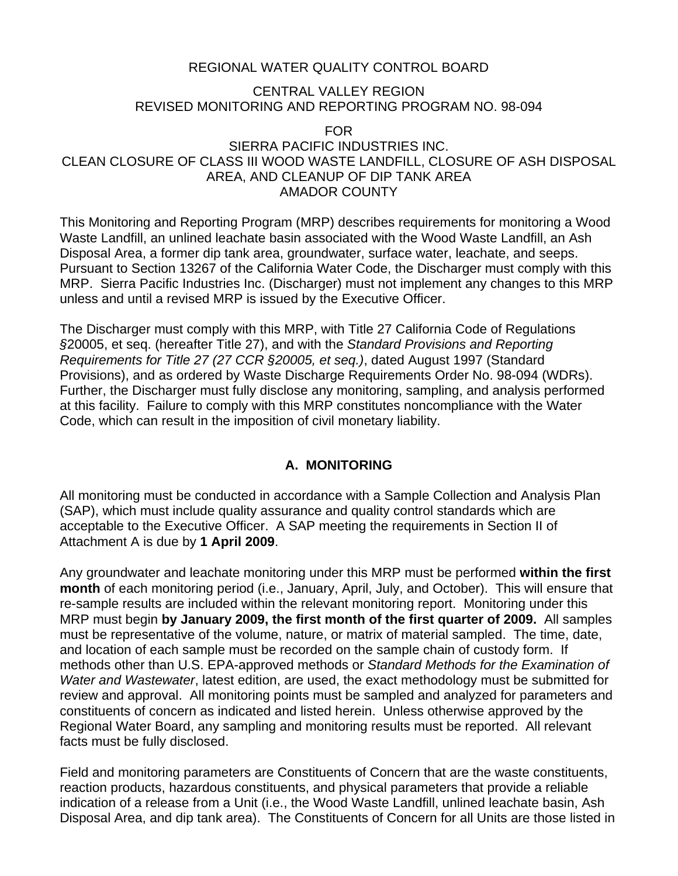## REGIONAL WATER QUALITY CONTROL BOARD

### CENTRAL VALLEY REGION REVISED MONITORING AND REPORTING PROGRAM NO. 98-094

FOR

## SIERRA PACIFIC INDUSTRIES INC. CLEAN CLOSURE OF CLASS III WOOD WASTE LANDFILL, CLOSURE OF ASH DISPOSAL AREA, AND CLEANUP OF DIP TANK AREA AMADOR COUNTY

This Monitoring and Reporting Program (MRP) describes requirements for monitoring a Wood Waste Landfill, an unlined leachate basin associated with the Wood Waste Landfill, an Ash Disposal Area, a former dip tank area, groundwater, surface water, leachate, and seeps. Pursuant to Section 13267 of the California Water Code, the Discharger must comply with this MRP. Sierra Pacific Industries Inc. (Discharger) must not implement any changes to this MRP unless and until a revised MRP is issued by the Executive Officer.

The Discharger must comply with this MRP, with Title 27 California Code of Regulations *§*20005, et seq. (hereafter Title 27), and with the *Standard Provisions and Reporting Requirements for Title 27 (27 CCR §20005, et seq.)*, dated August 1997 (Standard Provisions), and as ordered by Waste Discharge Requirements Order No. 98-094 (WDRs). Further, the Discharger must fully disclose any monitoring, sampling, and analysis performed at this facility. Failure to comply with this MRP constitutes noncompliance with the Water Code, which can result in the imposition of civil monetary liability.

## **A. MONITORING**

All monitoring must be conducted in accordance with a Sample Collection and Analysis Plan (SAP), which must include quality assurance and quality control standards which are acceptable to the Executive Officer. A SAP meeting the requirements in Section II of Attachment A is due by **1 April 2009**.

Any groundwater and leachate monitoring under this MRP must be performed **within the first month** of each monitoring period (i.e., January, April, July, and October). This will ensure that re-sample results are included within the relevant monitoring report. Monitoring under this MRP must begin **by January 2009, the first month of the first quarter of 2009.** All samples must be representative of the volume, nature, or matrix of material sampled. The time, date, and location of each sample must be recorded on the sample chain of custody form. If methods other than U.S. EPA-approved methods or *Standard Methods for the Examination of Water and Wastewater*, latest edition, are used, the exact methodology must be submitted for review and approval. All monitoring points must be sampled and analyzed for parameters and constituents of concern as indicated and listed herein. Unless otherwise approved by the Regional Water Board, any sampling and monitoring results must be reported. All relevant facts must be fully disclosed.

Field and monitoring parameters are Constituents of Concern that are the waste constituents, reaction products, hazardous constituents, and physical parameters that provide a reliable indication of a release from a Unit (i.e., the Wood Waste Landfill, unlined leachate basin, Ash Disposal Area, and dip tank area). The Constituents of Concern for all Units are those listed in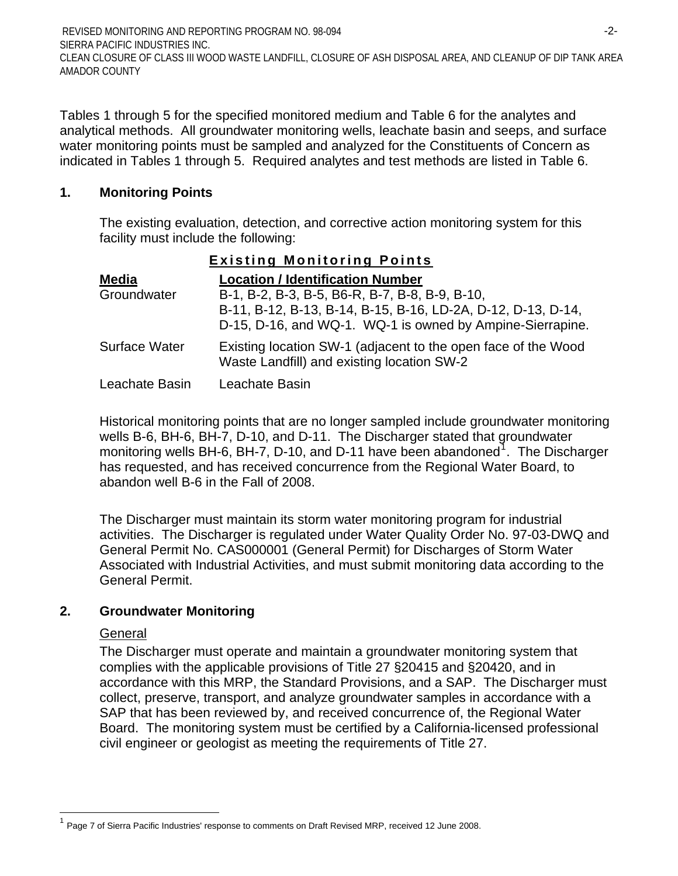Tables 1 through 5 for the specified monitored medium and Table 6 for the analytes and analytical methods. All groundwater monitoring wells, leachate basin and seeps, and surface water monitoring points must be sampled and analyzed for the Constituents of Concern as indicated in Tables 1 through 5. Required analytes and test methods are listed in Table 6.

## **1. Monitoring Points**

The existing evaluation, detection, and corrective action monitoring system for this facility must include the following:

| <b>Existing Monitoring Points</b> |  |
|-----------------------------------|--|
|                                   |  |

| <b>Media</b>         | <b>Location / Identification Number</b>                                                                        |
|----------------------|----------------------------------------------------------------------------------------------------------------|
| Groundwater          | B-1, B-2, B-3, B-5, B6-R, B-7, B-8, B-9, B-10,<br>B-11, B-12, B-13, B-14, B-15, B-16, LD-2A, D-12, D-13, D-14, |
|                      | D-15, D-16, and WQ-1. WQ-1 is owned by Ampine-Sierrapine.                                                      |
| <b>Surface Water</b> | Existing location SW-1 (adjacent to the open face of the Wood<br>Waste Landfill) and existing location SW-2    |
| Leachate Basin       | Leachate Basin                                                                                                 |

Historical monitoring points that are no longer sampled include groundwater monitoring wells B-6, BH-6, BH-7, D-10, and D-11. The Discharger stated that groundwater monitoring wells BH-6, BH-7, D-[1](#page-1-0)0, and D-11 have been abandoned<sup>1</sup>. The Discharger has requested, and has received concurrence from the Regional Water Board, to abandon well B-6 in the Fall of 2008.

The Discharger must maintain its storm water monitoring program for industrial activities. The Discharger is regulated under Water Quality Order No. 97-03-DWQ and General Permit No. CAS000001 (General Permit) for Discharges of Storm Water Associated with Industrial Activities, and must submit monitoring data according to the General Permit.

## **2. Groundwater Monitoring**

### **General**

<span id="page-1-0"></span> $\overline{a}$ 

The Discharger must operate and maintain a groundwater monitoring system that complies with the applicable provisions of Title 27 §20415 and §20420, and in accordance with this MRP, the Standard Provisions, and a SAP. The Discharger must collect, preserve, transport, and analyze groundwater samples in accordance with a SAP that has been reviewed by, and received concurrence of, the Regional Water Board. The monitoring system must be certified by a California-licensed professional civil engineer or geologist as meeting the requirements of Title 27.

Page 7 of Sierra Pacific Industries' response to comments on Draft Revised MRP, received 12 June 2008.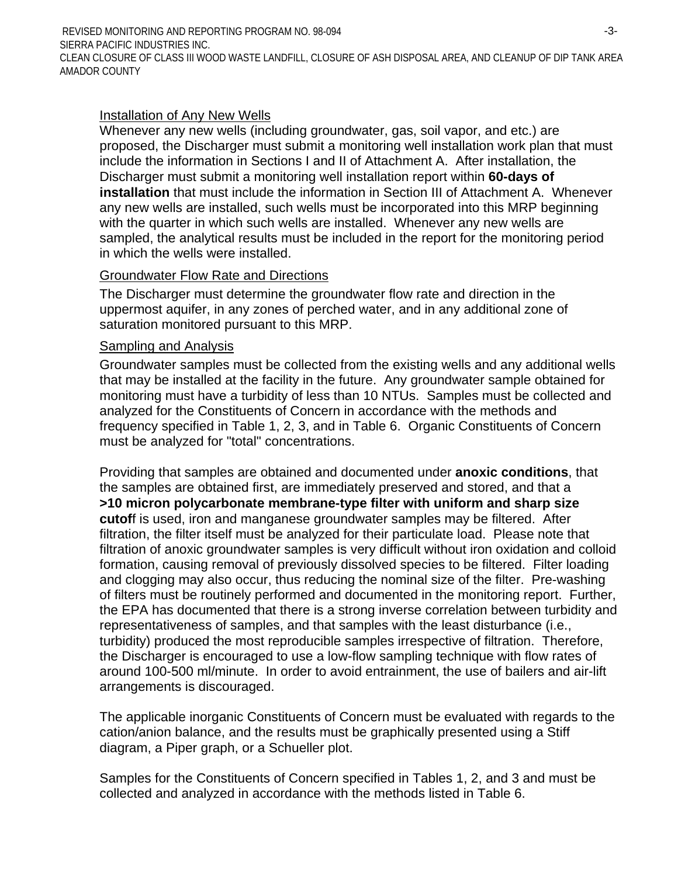REVISED MONITORING AND REPORTING PROGRAM NO. 98-094 SIERRA PACIFIC INDUSTRIES INC. -3- CLEAN CLOSURE OF CLASS III WOOD WASTE LANDFILL, CLOSURE OF ASH DISPOSAL AREA, AND CLEANUP OF DIP TANK AREA AMADOR COUNTY

### Installation of Any New Wells

Whenever any new wells (including groundwater, gas, soil vapor, and etc.) are proposed, the Discharger must submit a monitoring well installation work plan that must include the information in Sections I and II of Attachment A. After installation, the Discharger must submit a monitoring well installation report within **60-days of installation** that must include the information in Section III of Attachment A. Whenever any new wells are installed, such wells must be incorporated into this MRP beginning with the quarter in which such wells are installed. Whenever any new wells are sampled, the analytical results must be included in the report for the monitoring period in which the wells were installed.

#### Groundwater Flow Rate and Directions

The Discharger must determine the groundwater flow rate and direction in the uppermost aquifer, in any zones of perched water, and in any additional zone of saturation monitored pursuant to this MRP.

#### Sampling and Analysis

Groundwater samples must be collected from the existing wells and any additional wells that may be installed at the facility in the future. Any groundwater sample obtained for monitoring must have a turbidity of less than 10 NTUs. Samples must be collected and analyzed for the Constituents of Concern in accordance with the methods and frequency specified in Table 1, 2, 3, and in Table 6. Organic Constituents of Concern must be analyzed for "total" concentrations.

Providing that samples are obtained and documented under **anoxic conditions**, that the samples are obtained first, are immediately preserved and stored, and that a **>10 micron polycarbonate membrane-type filter with uniform and sharp size cutof**f is used, iron and manganese groundwater samples may be filtered. After filtration, the filter itself must be analyzed for their particulate load. Please note that filtration of anoxic groundwater samples is very difficult without iron oxidation and colloid formation, causing removal of previously dissolved species to be filtered. Filter loading and clogging may also occur, thus reducing the nominal size of the filter. Pre-washing of filters must be routinely performed and documented in the monitoring report. Further, the EPA has documented that there is a strong inverse correlation between turbidity and representativeness of samples, and that samples with the least disturbance (i.e., turbidity) produced the most reproducible samples irrespective of filtration. Therefore, the Discharger is encouraged to use a low-flow sampling technique with flow rates of around 100-500 ml/minute. In order to avoid entrainment, the use of bailers and air-lift arrangements is discouraged.

The applicable inorganic Constituents of Concern must be evaluated with regards to the cation/anion balance, and the results must be graphically presented using a Stiff diagram, a Piper graph, or a Schueller plot.

Samples for the Constituents of Concern specified in Tables 1, 2, and 3 and must be collected and analyzed in accordance with the methods listed in Table 6.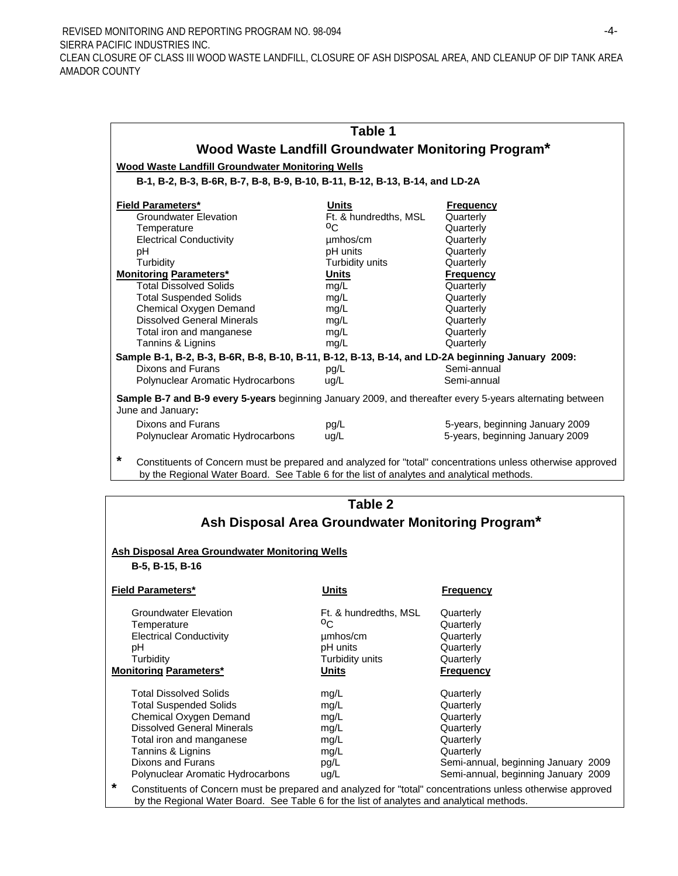REVISED MONITORING AND REPORTING PROGRAM NO. 98-094 SIERRA PACIFIC INDUSTRIES INC. -4- CLEAN CLOSURE OF CLASS III WOOD WASTE LANDFILL, CLOSURE OF ASH DISPOSAL AREA, AND CLEANUP OF DIP TANK AREA AMADOR COUNTY

|                                                                                                                                | Table 1               |                                 |  |  |
|--------------------------------------------------------------------------------------------------------------------------------|-----------------------|---------------------------------|--|--|
| Wood Waste Landfill Groundwater Monitoring Program*                                                                            |                       |                                 |  |  |
| <b>Wood Waste Landfill Groundwater Monitoring Wells</b>                                                                        |                       |                                 |  |  |
| B-1, B-2, B-3, B-6R, B-7, B-8, B-9, B-10, B-11, B-12, B-13, B-14, and LD-2A                                                    |                       |                                 |  |  |
|                                                                                                                                |                       |                                 |  |  |
| <b>Field Parameters*</b>                                                                                                       | Units                 | <b>Frequency</b>                |  |  |
| <b>Groundwater Elevation</b>                                                                                                   | Ft. & hundredths, MSL | Quarterly                       |  |  |
| Temperature                                                                                                                    | °C.                   | Quarterly                       |  |  |
| <b>Electrical Conductivity</b>                                                                                                 | umhos/cm              | Quarterly                       |  |  |
| рH                                                                                                                             | pH units              | Quarterly                       |  |  |
| Turbidity                                                                                                                      | Turbidity units       | Quarterly                       |  |  |
| <b>Monitoring Parameters*</b>                                                                                                  | <b>Units</b>          | <b>Frequency</b>                |  |  |
| <b>Total Dissolved Solids</b>                                                                                                  | mg/L                  | Quarterly                       |  |  |
| <b>Total Suspended Solids</b>                                                                                                  | mg/L                  | Quarterly                       |  |  |
| Chemical Oxygen Demand                                                                                                         | mg/L                  | Quarterly                       |  |  |
| <b>Dissolved General Minerals</b>                                                                                              | mg/L                  | Quarterly                       |  |  |
| Total iron and manganese                                                                                                       | mg/L                  | Quarterly                       |  |  |
| Tannins & Lignins                                                                                                              | mg/L                  | Quarterly                       |  |  |
| Sample B-1, B-2, B-3, B-6R, B-8, B-10, B-11, B-12, B-13, B-14, and LD-2A beginning January 2009:                               |                       |                                 |  |  |
| Dixons and Furans                                                                                                              | pq/L                  | Semi-annual                     |  |  |
| Polynuclear Aromatic Hydrocarbons                                                                                              | ug/L                  | Semi-annual                     |  |  |
| Sample B-7 and B-9 every 5-years beginning January 2009, and thereafter every 5-years alternating between<br>June and January: |                       |                                 |  |  |
| Dixons and Furans                                                                                                              | pg/L                  | 5-years, beginning January 2009 |  |  |
| Polynuclear Aromatic Hydrocarbons                                                                                              | ug/L                  | 5-years, beginning January 2009 |  |  |
|                                                                                                                                |                       |                                 |  |  |

**\*** Constituents of Concern must be prepared and analyzed for "total" concentrations unless otherwise approved by the Regional Water Board. See Table 6 for the list of analytes and analytical methods.

| Table 2<br>Ash Disposal Area Groundwater Monitoring Program*                                                                                                                                                                                  |                                                                                 |                                                                                                                                                          |  |  |
|-----------------------------------------------------------------------------------------------------------------------------------------------------------------------------------------------------------------------------------------------|---------------------------------------------------------------------------------|----------------------------------------------------------------------------------------------------------------------------------------------------------|--|--|
| <b>Ash Disposal Area Groundwater Monitoring Wells</b><br>B-5, B-15, B-16                                                                                                                                                                      |                                                                                 |                                                                                                                                                          |  |  |
| <b>Field Parameters*</b>                                                                                                                                                                                                                      | Units                                                                           | <b>Frequency</b>                                                                                                                                         |  |  |
| <b>Groundwater Elevation</b><br>Temperature<br><b>Electrical Conductivity</b><br>рH<br>Turbidity<br><b>Monitoring Parameters*</b>                                                                                                             | Ft. & hundredths, MSL<br>°Σ<br>umhos/cm<br>pH units<br>Turbidity units<br>Units | Quarterly<br>Quarterly<br>Quarterly<br>Quarterly<br>Quarterly<br><u>Frequency</u>                                                                        |  |  |
| <b>Total Dissolved Solids</b><br><b>Total Suspended Solids</b><br>Chemical Oxygen Demand<br><b>Dissolved General Minerals</b><br>Total iron and manganese<br>Tannins & Lignins<br>Dixons and Furans<br>Polynuclear Aromatic Hydrocarbons<br>* | mg/L<br>mg/L<br>mg/L<br>mg/L<br>mg/L<br>mg/L<br>pg/L<br>ug/L                    | Quarterly<br>Quarterly<br>Quarterly<br>Quarterly<br>Quarterly<br>Quarterly<br>Semi-annual, beginning January 2009<br>Semi-annual, beginning January 2009 |  |  |
|                                                                                                                                                                                                                                               |                                                                                 | Constituents of Concern must be prepared and analyzed for "total" concentrations unless otherwise approved                                               |  |  |

by the Regional Water Board. See Table 6 for the list of analytes and analytical methods.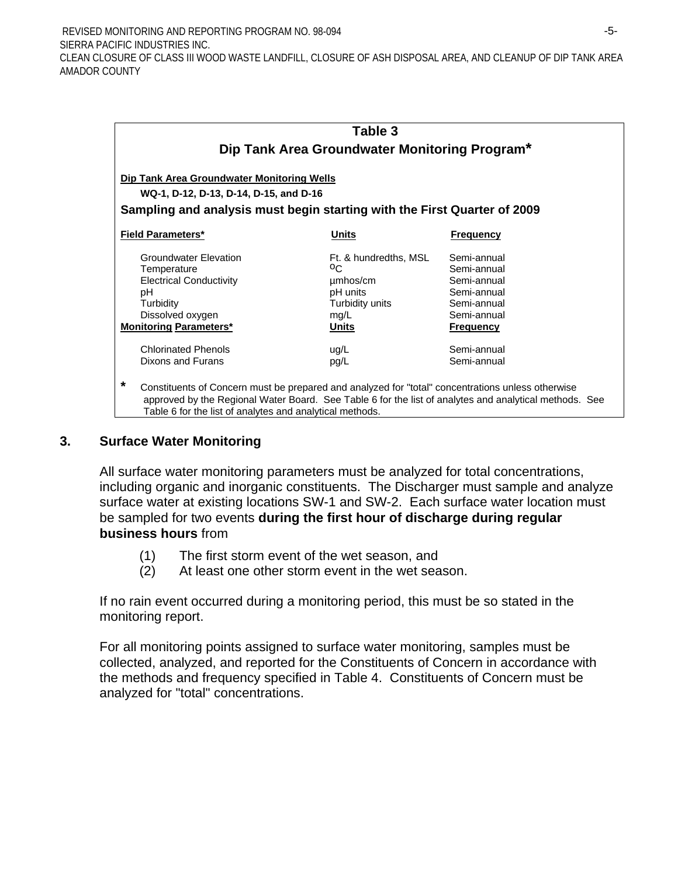|                                                                                                                                                                    | Table 3<br>Dip Tank Area Groundwater Monitoring Program* |                                                                                                        |
|--------------------------------------------------------------------------------------------------------------------------------------------------------------------|----------------------------------------------------------|--------------------------------------------------------------------------------------------------------|
| Dip Tank Area Groundwater Monitoring Wells                                                                                                                         |                                                          |                                                                                                        |
| WQ-1, D-12, D-13, D-14, D-15, and D-16                                                                                                                             |                                                          |                                                                                                        |
| Sampling and analysis must begin starting with the First Quarter of 2009                                                                                           |                                                          |                                                                                                        |
| <b>Field Parameters*</b>                                                                                                                                           | Units                                                    | <b>Frequency</b>                                                                                       |
| <b>Groundwater Elevation</b>                                                                                                                                       | Ft. & hundredths, MSL                                    | Semi-annual                                                                                            |
| Temperature                                                                                                                                                        | $^{0}C$                                                  | Semi-annual                                                                                            |
| <b>Electrical Conductivity</b>                                                                                                                                     | umhos/cm                                                 | Semi-annual                                                                                            |
| рH                                                                                                                                                                 | pH units                                                 | Semi-annual                                                                                            |
| Turbidity                                                                                                                                                          | Turbidity units                                          | Semi-annual                                                                                            |
| Dissolved oxygen                                                                                                                                                   | mg/L                                                     | Semi-annual                                                                                            |
| <b>Monitoring Parameters*</b>                                                                                                                                      | Units                                                    | <b>Frequency</b>                                                                                       |
| <b>Chlorinated Phenols</b>                                                                                                                                         | ug/L                                                     | Semi-annual                                                                                            |
| Dixons and Furans                                                                                                                                                  | pg/L                                                     | Semi-annual                                                                                            |
| *<br>Constituents of Concern must be prepared and analyzed for "total" concentrations unless otherwise<br>Table 6 for the list of analytes and analytical methods. |                                                          | approved by the Regional Water Board. See Table 6 for the list of analytes and analytical methods. See |

### **3. Surface Water Monitoring**

All surface water monitoring parameters must be analyzed for total concentrations, including organic and inorganic constituents. The Discharger must sample and analyze surface water at existing locations SW-1 and SW-2. Each surface water location must be sampled for two events **during the first hour of discharge during regular business hours** from

- (1) The first storm event of the wet season, and
- (2) At least one other storm event in the wet season.

If no rain event occurred during a monitoring period, this must be so stated in the monitoring report.

For all monitoring points assigned to surface water monitoring, samples must be collected, analyzed, and reported for the Constituents of Concern in accordance with the methods and frequency specified in Table 4. Constituents of Concern must be analyzed for "total" concentrations.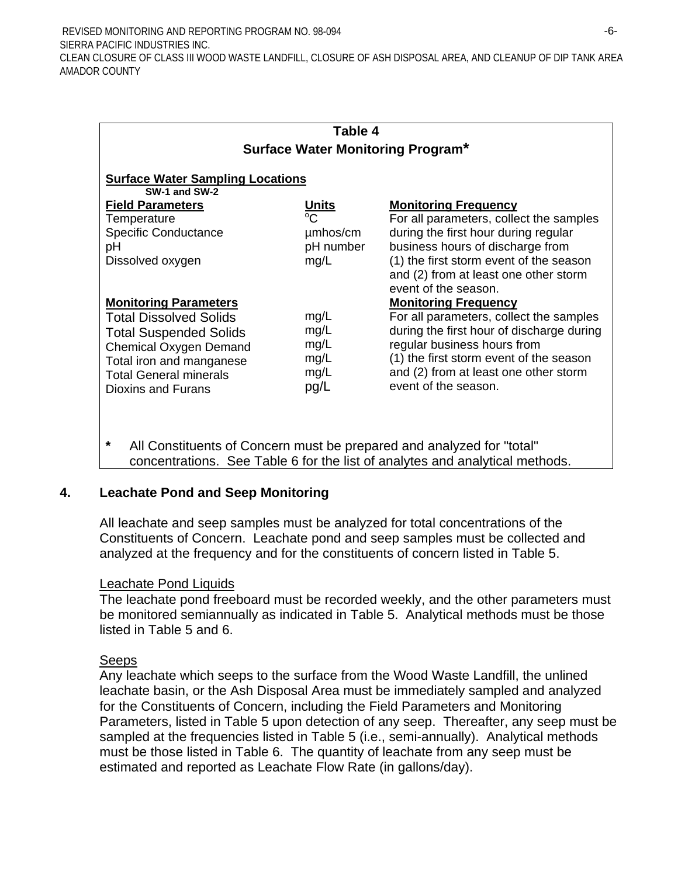| Table 4                                 |             |                                           |  |  |
|-----------------------------------------|-------------|-------------------------------------------|--|--|
|                                         |             | <b>Surface Water Monitoring Program*</b>  |  |  |
|                                         |             |                                           |  |  |
| <b>Surface Water Sampling Locations</b> |             |                                           |  |  |
| SW-1 and SW-2                           |             |                                           |  |  |
| <b>Field Parameters</b>                 | Units       | <b>Monitoring Frequency</b>               |  |  |
| Temperature                             | $^{\circ}C$ | For all parameters, collect the samples   |  |  |
| <b>Specific Conductance</b>             | umhos/cm    | during the first hour during regular      |  |  |
| рH                                      | pH number   | business hours of discharge from          |  |  |
| Dissolved oxygen                        | mg/L        | (1) the first storm event of the season   |  |  |
|                                         |             | and (2) from at least one other storm     |  |  |
|                                         |             | event of the season.                      |  |  |
| <b>Monitoring Parameters</b>            |             | <b>Monitoring Frequency</b>               |  |  |
| <b>Total Dissolved Solids</b>           | mg/L        | For all parameters, collect the samples   |  |  |
|                                         | mg/L        | during the first hour of discharge during |  |  |
| <b>Total Suspended Solids</b>           |             | regular business hours from               |  |  |
| <b>Chemical Oxygen Demand</b>           | mg/L        |                                           |  |  |
| Total iron and manganese                | mg/L        | (1) the first storm event of the season   |  |  |
| <b>Total General minerals</b>           | mg/L        | and (2) from at least one other storm     |  |  |
| Dioxins and Furans                      | pg/L        | event of the season.                      |  |  |
|                                         |             |                                           |  |  |
|                                         |             |                                           |  |  |
|                                         |             |                                           |  |  |

**\*** All Constituents of Concern must be prepared and analyzed for "total" concentrations. See Table 6 for the list of analytes and analytical methods.

### **4. Leachate Pond and Seep Monitoring**

All leachate and seep samples must be analyzed for total concentrations of the Constituents of Concern. Leachate pond and seep samples must be collected and analyzed at the frequency and for the constituents of concern listed in Table 5.

#### Leachate Pond Liquids

The leachate pond freeboard must be recorded weekly, and the other parameters must be monitored semiannually as indicated in Table 5. Analytical methods must be those listed in Table 5 and 6.

#### Seeps

Any leachate which seeps to the surface from the Wood Waste Landfill, the unlined leachate basin, or the Ash Disposal Area must be immediately sampled and analyzed for the Constituents of Concern, including the Field Parameters and Monitoring Parameters, listed in Table 5 upon detection of any seep. Thereafter, any seep must be sampled at the frequencies listed in Table 5 (i.e., semi-annually). Analytical methods must be those listed in Table 6. The quantity of leachate from any seep must be estimated and reported as Leachate Flow Rate (in gallons/day).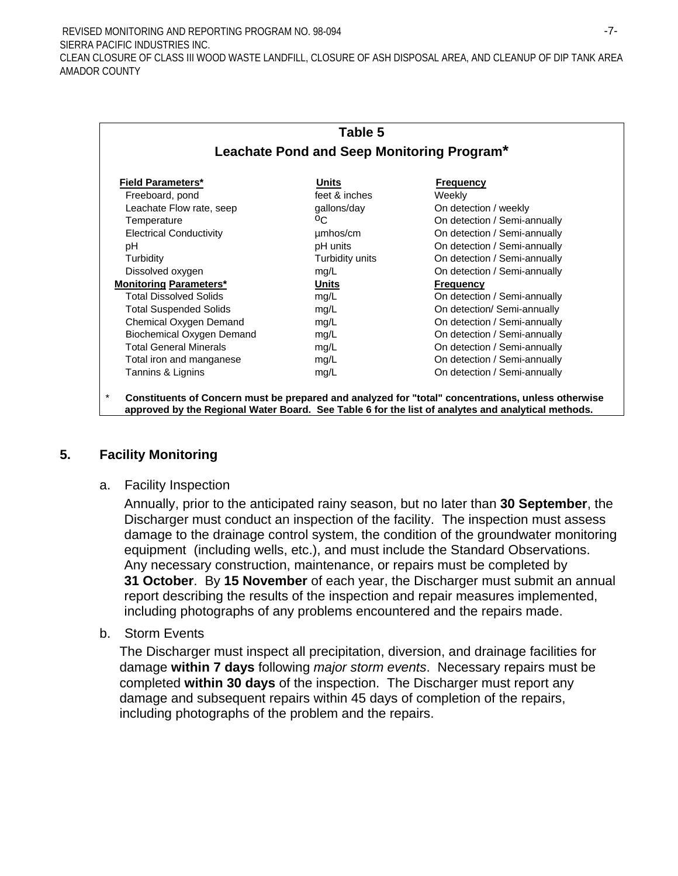REVISED MONITORING AND REPORTING PROGRAM NO. 98-094 SIERRA PACIFIC INDUSTRIES INC. -7- CLEAN CLOSURE OF CLASS III WOOD WASTE LANDFILL, CLOSURE OF ASH DISPOSAL AREA, AND CLEANUP OF DIP TANK AREA AMADOR COUNTY

|                                            | Table 5         |                              |  |
|--------------------------------------------|-----------------|------------------------------|--|
| Leachate Pond and Seep Monitoring Program* |                 |                              |  |
| <b>Field Parameters*</b>                   | Units           | <b>Frequency</b>             |  |
| Freeboard, pond                            | feet & inches   | Weekly                       |  |
| Leachate Flow rate, seep                   | gallons/day     | On detection / weekly        |  |
| Temperature                                | °C.             | On detection / Semi-annually |  |
| <b>Electrical Conductivity</b>             | umhos/cm        | On detection / Semi-annually |  |
| рH                                         | pH units        | On detection / Semi-annually |  |
| Turbidity                                  | Turbidity units | On detection / Semi-annually |  |
| Dissolved oxygen                           | mg/L            | On detection / Semi-annually |  |
| <b>Monitoring Parameters*</b>              | Units           | <b>Frequency</b>             |  |
| <b>Total Dissolved Solids</b>              | mg/L            | On detection / Semi-annually |  |
| <b>Total Suspended Solids</b>              | mg/L            | On detection/ Semi-annually  |  |
| Chemical Oxygen Demand                     | mg/L            | On detection / Semi-annually |  |
| Biochemical Oxygen Demand                  | mg/L            | On detection / Semi-annually |  |
| <b>Total General Minerals</b>              | mg/L            | On detection / Semi-annually |  |
| Total iron and manganese                   | mg/L            | On detection / Semi-annually |  |
| Tannins & Lignins                          | mg/L            | On detection / Semi-annually |  |

\* **Constituents of Concern must be prepared and analyzed for "total" concentrations, unless otherwise approved by the Regional Water Board. See Table 6 for the list of analytes and analytical methods.**

#### **5. Facility Monitoring**

a. Facility Inspection

Annually, prior to the anticipated rainy season, but no later than **30 September**, the Discharger must conduct an inspection of the facility. The inspection must assess damage to the drainage control system, the condition of the groundwater monitoring equipment (including wells, etc.), and must include the Standard Observations. Any necessary construction, maintenance, or repairs must be completed by **31 October**. By **15 November** of each year, the Discharger must submit an annual report describing the results of the inspection and repair measures implemented, including photographs of any problems encountered and the repairs made.

b. Storm Events

The Discharger must inspect all precipitation, diversion, and drainage facilities for damage **within 7 days** following *major storm events*. Necessary repairs must be completed **within 30 days** of the inspection. The Discharger must report any damage and subsequent repairs within 45 days of completion of the repairs, including photographs of the problem and the repairs.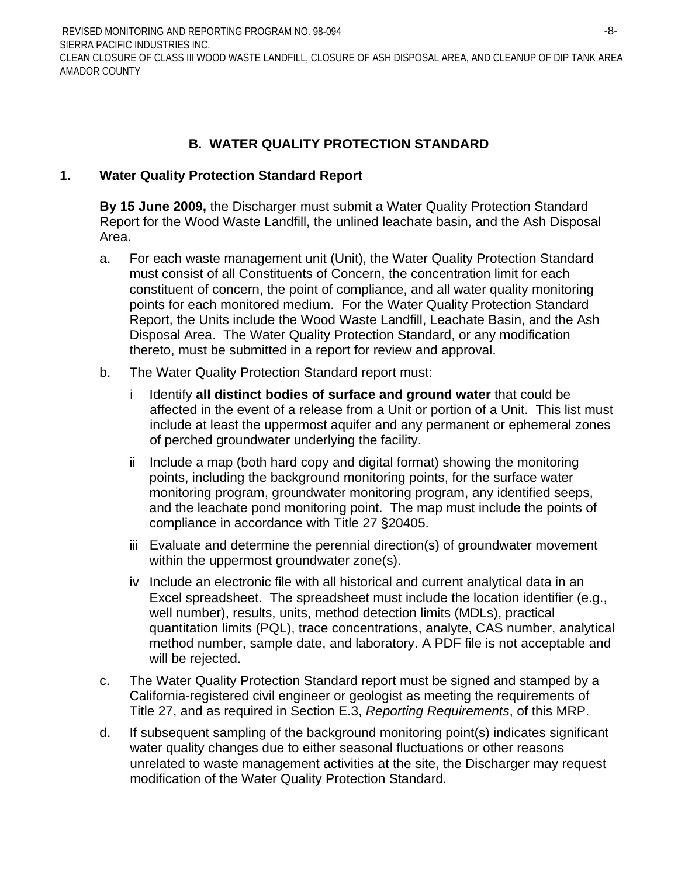REVISED MONITORING AND REPORTING PROGRAM NO. 98-094 SIERRA PACIFIC INDUSTRIES INC. -8- CLEAN CLOSURE OF CLASS III WOOD WASTE LANDFILL, CLOSURE OF ASH DISPOSAL AREA, AND CLEANUP OF DIP TANK AREA AMADOR COUNTY

## **B. WATER QUALITY PROTECTION STANDARD**

## **1. Water Quality Protection Standard Report**

**By 15 June 2009,** the Discharger must submit a Water Quality Protection Standard Report for the Wood Waste Landfill, the unlined leachate basin, and the Ash Disposal Area.

- a. For each waste management unit (Unit), the Water Quality Protection Standard must consist of all Constituents of Concern, the concentration limit for each constituent of concern, the point of compliance, and all water quality monitoring points for each monitored medium. For the Water Quality Protection Standard Report, the Units include the Wood Waste Landfill, Leachate Basin, and the Ash Disposal Area. The Water Quality Protection Standard, or any modification thereto, must be submitted in a report for review and approval.
- b. The Water Quality Protection Standard report must:
	- i Identify **all distinct bodies of surface and ground water** that could be affected in the event of a release from a Unit or portion of a Unit. This list must include at least the uppermost aquifer and any permanent or ephemeral zones of perched groundwater underlying the facility.
	- ii Include a map (both hard copy and digital format) showing the monitoring points, including the background monitoring points, for the surface water monitoring program, groundwater monitoring program, any identified seeps, and the leachate pond monitoring point. The map must include the points of compliance in accordance with Title 27 §20405.
	- iii Evaluate and determine the perennial direction(s) of groundwater movement within the uppermost groundwater zone(s).
	- iv Include an electronic file with all historical and current analytical data in an Excel spreadsheet. The spreadsheet must include the location identifier (e.g., well number), results, units, method detection limits (MDLs), practical quantitation limits (PQL), trace concentrations, analyte, CAS number, analytical method number, sample date, and laboratory. A PDF file is not acceptable and will be rejected.
- c. The Water Quality Protection Standard report must be signed and stamped by a California-registered civil engineer or geologist as meeting the requirements of Title 27, and as required in Section E.3, *Reporting Requirements*, of this MRP.
- d. If subsequent sampling of the background monitoring point(s) indicates significant water quality changes due to either seasonal fluctuations or other reasons unrelated to waste management activities at the site, the Discharger may request modification of the Water Quality Protection Standard.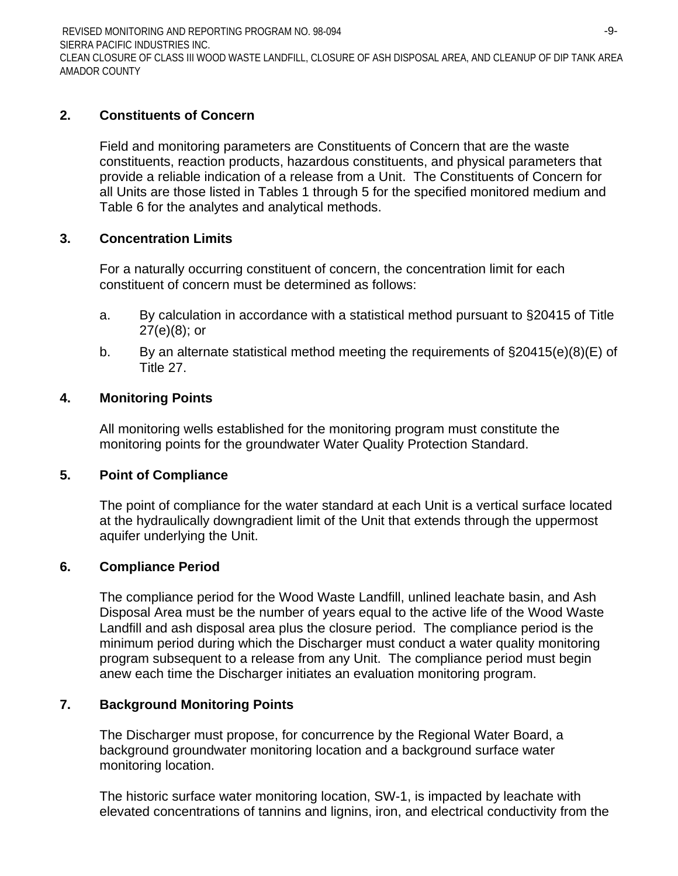REVISED MONITORING AND REPORTING PROGRAM NO. 98-094 SIERRA PACIFIC INDUSTRIES INC. -9- CLEAN CLOSURE OF CLASS III WOOD WASTE LANDFILL, CLOSURE OF ASH DISPOSAL AREA, AND CLEANUP OF DIP TANK AREA AMADOR COUNTY

## **2. Constituents of Concern**

Field and monitoring parameters are Constituents of Concern that are the waste constituents, reaction products, hazardous constituents, and physical parameters that provide a reliable indication of a release from a Unit. The Constituents of Concern for all Units are those listed in Tables 1 through 5 for the specified monitored medium and Table 6 for the analytes and analytical methods.

## **3. Concentration Limits**

For a naturally occurring constituent of concern, the concentration limit for each constituent of concern must be determined as follows:

- a. By calculation in accordance with a statistical method pursuant to §20415 of Title  $27(e)(8)$ ; or
- b. By an alternate statistical method meeting the requirements of §20415(e)(8)(E) of Title 27.

## **4. Monitoring Points**

All monitoring wells established for the monitoring program must constitute the monitoring points for the groundwater Water Quality Protection Standard.

### **5. Point of Compliance**

The point of compliance for the water standard at each Unit is a vertical surface located at the hydraulically downgradient limit of the Unit that extends through the uppermost aquifer underlying the Unit.

### **6. Compliance Period**

The compliance period for the Wood Waste Landfill, unlined leachate basin, and Ash Disposal Area must be the number of years equal to the active life of the Wood Waste Landfill and ash disposal area plus the closure period. The compliance period is the minimum period during which the Discharger must conduct a water quality monitoring program subsequent to a release from any Unit. The compliance period must begin anew each time the Discharger initiates an evaluation monitoring program.

## **7. Background Monitoring Points**

The Discharger must propose, for concurrence by the Regional Water Board, a background groundwater monitoring location and a background surface water monitoring location.

The historic surface water monitoring location, SW-1, is impacted by leachate with elevated concentrations of tannins and lignins, iron, and electrical conductivity from the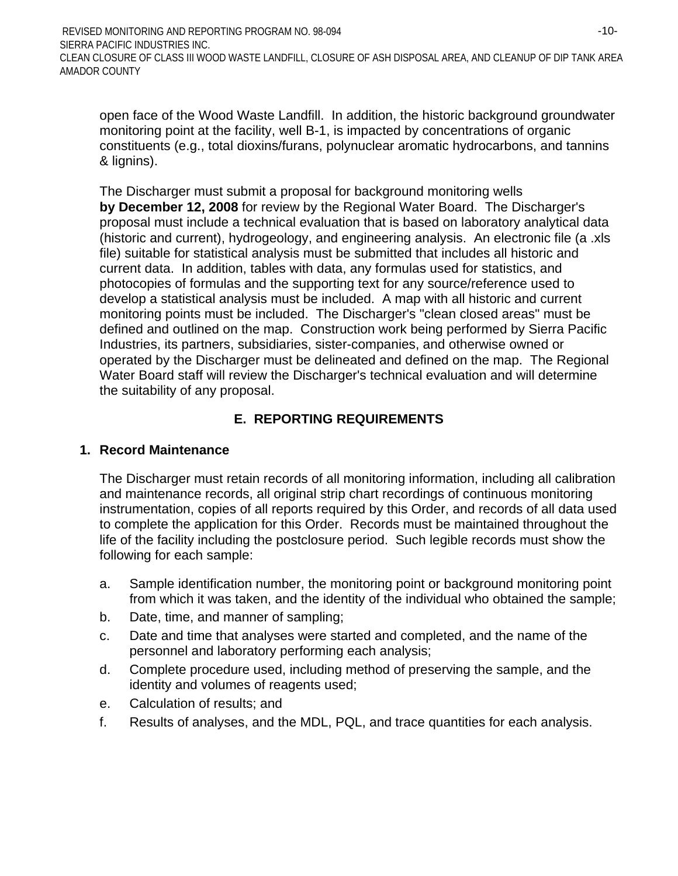open face of the Wood Waste Landfill. In addition, the historic background groundwater monitoring point at the facility, well B-1, is impacted by concentrations of organic constituents (e.g., total dioxins/furans, polynuclear aromatic hydrocarbons, and tannins & lignins).

The Discharger must submit a proposal for background monitoring wells **by December 12, 2008** for review by the Regional Water Board. The Discharger's proposal must include a technical evaluation that is based on laboratory analytical data (historic and current), hydrogeology, and engineering analysis. An electronic file (a .xls file) suitable for statistical analysis must be submitted that includes all historic and current data. In addition, tables with data, any formulas used for statistics, and photocopies of formulas and the supporting text for any source/reference used to develop a statistical analysis must be included. A map with all historic and current monitoring points must be included. The Discharger's "clean closed areas" must be defined and outlined on the map. Construction work being performed by Sierra Pacific Industries, its partners, subsidiaries, sister-companies, and otherwise owned or operated by the Discharger must be delineated and defined on the map. The Regional Water Board staff will review the Discharger's technical evaluation and will determine the suitability of any proposal.

# **E. REPORTING REQUIREMENTS**

### **1. Record Maintenance**

The Discharger must retain records of all monitoring information, including all calibration and maintenance records, all original strip chart recordings of continuous monitoring instrumentation, copies of all reports required by this Order, and records of all data used to complete the application for this Order. Records must be maintained throughout the life of the facility including the postclosure period. Such legible records must show the following for each sample:

- a. Sample identification number, the monitoring point or background monitoring point from which it was taken, and the identity of the individual who obtained the sample;
- b. Date, time, and manner of sampling;
- c. Date and time that analyses were started and completed, and the name of the personnel and laboratory performing each analysis;
- d. Complete procedure used, including method of preserving the sample, and the identity and volumes of reagents used;
- e. Calculation of results; and
- f. Results of analyses, and the MDL, PQL, and trace quantities for each analysis.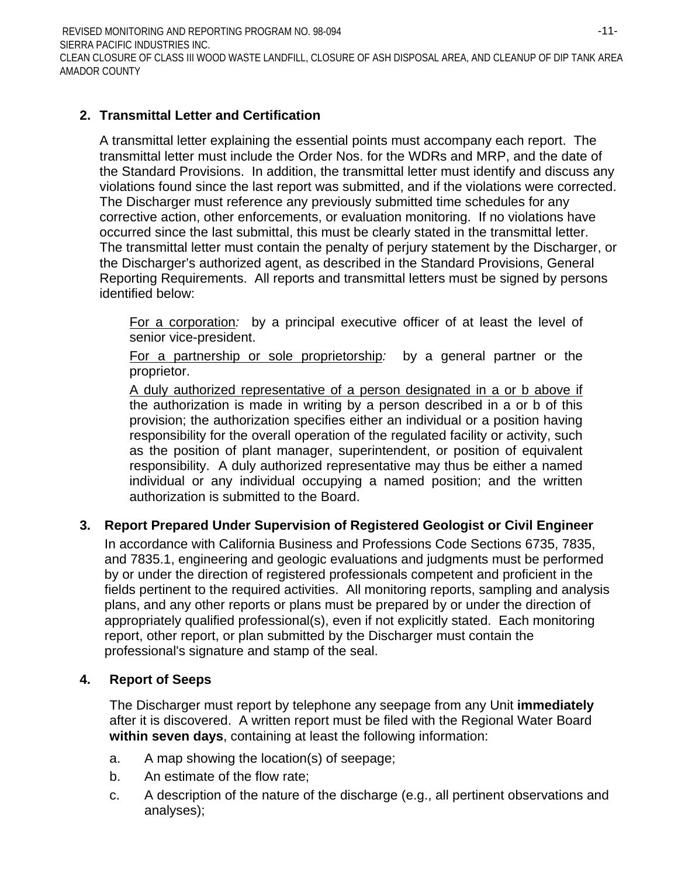REVISED MONITORING AND REPORTING PROGRAM NO. 98-094 SIERRA PACIFIC INDUSTRIES INC. -11- CLEAN CLOSURE OF CLASS III WOOD WASTE LANDFILL, CLOSURE OF ASH DISPOSAL AREA, AND CLEANUP OF DIP TANK AREA AMADOR COUNTY

## **2. Transmittal Letter and Certification**

A transmittal letter explaining the essential points must accompany each report. The transmittal letter must include the Order Nos. for the WDRs and MRP, and the date of the Standard Provisions. In addition, the transmittal letter must identify and discuss any violations found since the last report was submitted, and if the violations were corrected. The Discharger must reference any previously submitted time schedules for any corrective action, other enforcements, or evaluation monitoring. If no violations have occurred since the last submittal, this must be clearly stated in the transmittal letter. The transmittal letter must contain the penalty of perjury statement by the Discharger, or the Discharger's authorized agent, as described in the Standard Provisions, General Reporting Requirements. All reports and transmittal letters must be signed by persons identified below:

For a corporation*:* by a principal executive officer of at least the level of senior vice-president.

For a partnership or sole proprietorship*:* by a general partner or the proprietor.

A duly authorized representative of a person designated in a or b above if the authorization is made in writing by a person described in a or b of this provision; the authorization specifies either an individual or a position having responsibility for the overall operation of the regulated facility or activity, such as the position of plant manager, superintendent, or position of equivalent responsibility. A duly authorized representative may thus be either a named individual or any individual occupying a named position; and the written authorization is submitted to the Board.

## **3. Report Prepared Under Supervision of Registered Geologist or Civil Engineer**

In accordance with California Business and Professions Code Sections 6735, 7835, and 7835.1, engineering and geologic evaluations and judgments must be performed by or under the direction of registered professionals competent and proficient in the fields pertinent to the required activities. All monitoring reports, sampling and analysis plans, and any other reports or plans must be prepared by or under the direction of appropriately qualified professional(s), even if not explicitly stated. Each monitoring report, other report, or plan submitted by the Discharger must contain the professional's signature and stamp of the seal.

## **4. Report of Seeps**

The Discharger must report by telephone any seepage from any Unit **immediately** after it is discovered. A written report must be filed with the Regional Water Board **within seven days**, containing at least the following information:

- a. A map showing the location(s) of seepage;
- b. An estimate of the flow rate;
- c. A description of the nature of the discharge (e.g., all pertinent observations and analyses);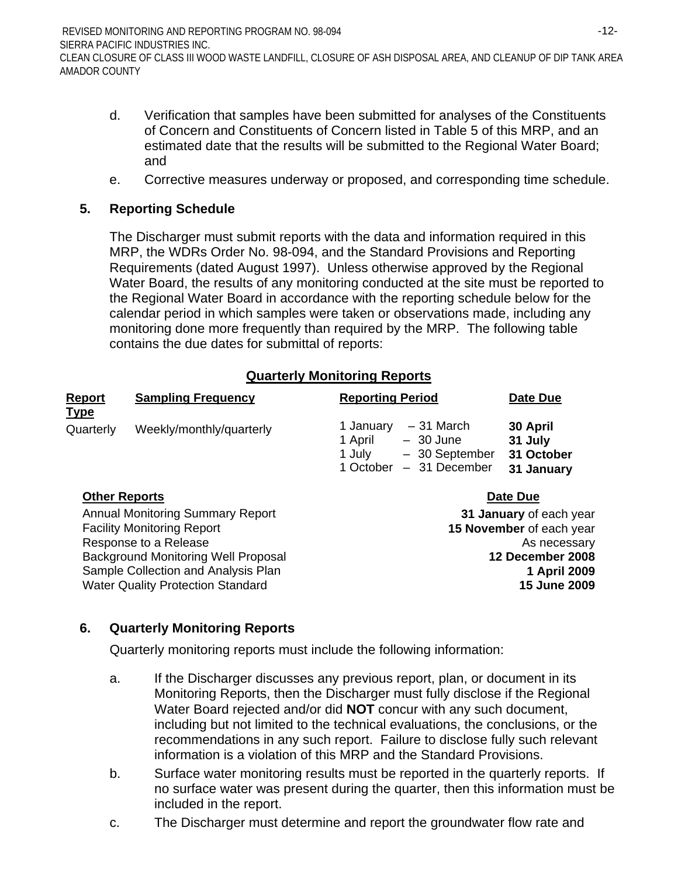- d. Verification that samples have been submitted for analyses of the Constituents of Concern and Constituents of Concern listed in Table 5 of this MRP, and an estimated date that the results will be submitted to the Regional Water Board; and
- e. Corrective measures underway or proposed, and corresponding time schedule.

## **5. Reporting Schedule**

The Discharger must submit reports with the data and information required in this MRP, the WDRs Order No. 98-094, and the Standard Provisions and Reporting Requirements (dated August 1997). Unless otherwise approved by the Regional Water Board, the results of any monitoring conducted at the site must be reported to the Regional Water Board in accordance with the reporting schedule below for the calendar period in which samples were taken or observations made, including any monitoring done more frequently than required by the MRP. The following table contains the due dates for submittal of reports:

## **Quarterly Monitoring Reports**

| <b>Report</b><br><b>Type</b> | <b>Sampling Frequency</b> | <b>Reporting Period</b>                                                                                    | Date Due                                        |
|------------------------------|---------------------------|------------------------------------------------------------------------------------------------------------|-------------------------------------------------|
| Quarterly                    | Weekly/monthly/quarterly  | – 31 March<br>1 January<br>1 April<br>$-30$ June<br>- 30 September<br>1 July<br>- 31 December<br>1 October | 30 April<br>31 July<br>31 October<br>31 January |

### **Other Reports Date Due**

Annual Monitoring Summary Report **31 January** of each year Facility Monitoring Report **15 November** of each year Response to a Release As necessary As necessary Background Monitoring Well Proposal **12 December 2008** Sample Collection and Analysis Plan **1 April 2009 1 April 2009** Water Quality Protection Standard **15 June 2009** 

# **6. Quarterly Monitoring Reports**

Quarterly monitoring reports must include the following information:

- a. If the Discharger discusses any previous report, plan, or document in its Monitoring Reports, then the Discharger must fully disclose if the Regional Water Board rejected and/or did **NOT** concur with any such document, including but not limited to the technical evaluations, the conclusions, or the recommendations in any such report. Failure to disclose fully such relevant information is a violation of this MRP and the Standard Provisions.
- b. Surface water monitoring results must be reported in the quarterly reports. If no surface water was present during the quarter, then this information must be included in the report.
- c. The Discharger must determine and report the groundwater flow rate and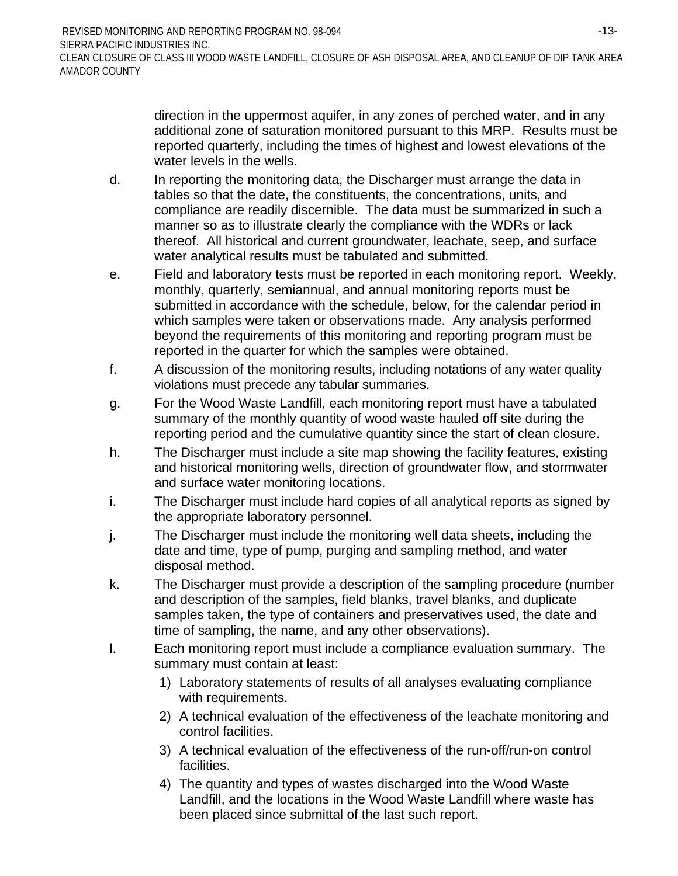direction in the uppermost aquifer, in any zones of perched water, and in any additional zone of saturation monitored pursuant to this MRP. Results must be reported quarterly, including the times of highest and lowest elevations of the water levels in the wells.

- d. In reporting the monitoring data, the Discharger must arrange the data in tables so that the date, the constituents, the concentrations, units, and compliance are readily discernible. The data must be summarized in such a manner so as to illustrate clearly the compliance with the WDRs or lack thereof. All historical and current groundwater, leachate, seep, and surface water analytical results must be tabulated and submitted.
- e. Field and laboratory tests must be reported in each monitoring report. Weekly, monthly, quarterly, semiannual, and annual monitoring reports must be submitted in accordance with the schedule, below, for the calendar period in which samples were taken or observations made. Any analysis performed beyond the requirements of this monitoring and reporting program must be reported in the quarter for which the samples were obtained.
- f. A discussion of the monitoring results, including notations of any water quality violations must precede any tabular summaries.
- g. For the Wood Waste Landfill, each monitoring report must have a tabulated summary of the monthly quantity of wood waste hauled off site during the reporting period and the cumulative quantity since the start of clean closure.
- h. The Discharger must include a site map showing the facility features, existing and historical monitoring wells, direction of groundwater flow, and stormwater and surface water monitoring locations.
- i. The Discharger must include hard copies of all analytical reports as signed by the appropriate laboratory personnel.
- j. The Discharger must include the monitoring well data sheets, including the date and time, type of pump, purging and sampling method, and water disposal method.
- k. The Discharger must provide a description of the sampling procedure (number and description of the samples, field blanks, travel blanks, and duplicate samples taken, the type of containers and preservatives used, the date and time of sampling, the name, and any other observations).
- l. Each monitoring report must include a compliance evaluation summary. The summary must contain at least:
	- 1) Laboratory statements of results of all analyses evaluating compliance with requirements.
	- 2) A technical evaluation of the effectiveness of the leachate monitoring and control facilities.
	- 3) A technical evaluation of the effectiveness of the run-off/run-on control facilities.
	- 4) The quantity and types of wastes discharged into the Wood Waste Landfill, and the locations in the Wood Waste Landfill where waste has been placed since submittal of the last such report.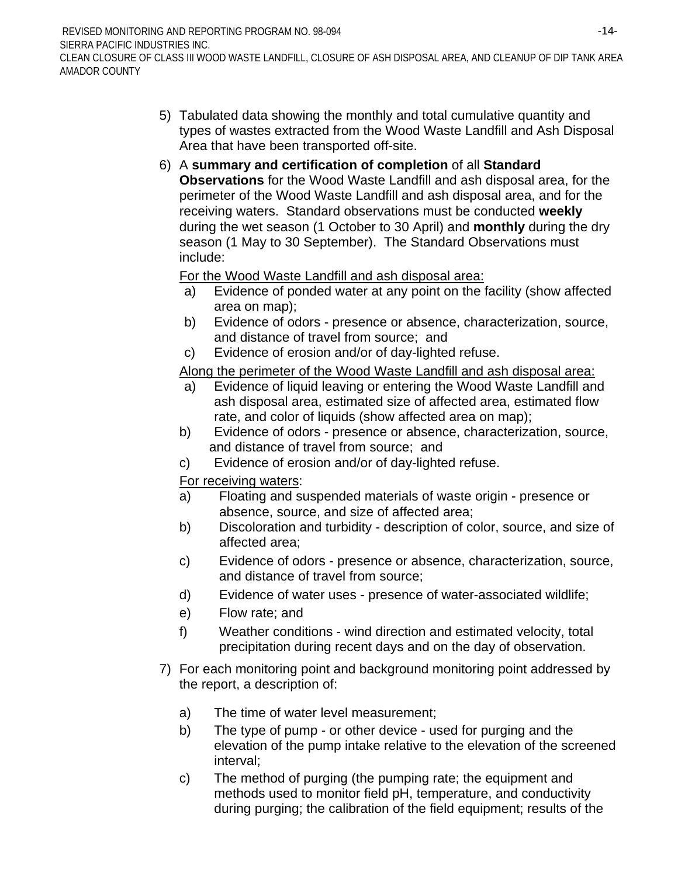- 5) Tabulated data showing the monthly and total cumulative quantity and types of wastes extracted from the Wood Waste Landfill and Ash Disposal Area that have been transported off-site.
- 6) A **summary and certification of completion** of all **Standard Observations** for the Wood Waste Landfill and ash disposal area, for the perimeter of the Wood Waste Landfill and ash disposal area, and for the receiving waters. Standard observations must be conducted **weekly** during the wet season (1 October to 30 April) and **monthly** during the dry season (1 May to 30 September). The Standard Observations must include:

For the Wood Waste Landfill and ash disposal area:

- a) Evidence of ponded water at any point on the facility (show affected area on map);
- b) Evidence of odors presence or absence, characterization, source, and distance of travel from source; and
- c) Evidence of erosion and/or of day-lighted refuse.

Along the perimeter of the Wood Waste Landfill and ash disposal area:

- a) Evidence of liquid leaving or entering the Wood Waste Landfill and ash disposal area, estimated size of affected area, estimated flow rate, and color of liquids (show affected area on map);
- b) Evidence of odors presence or absence, characterization, source, and distance of travel from source; and
- c) Evidence of erosion and/or of day-lighted refuse.

For receiving waters:

- a) Floating and suspended materials of waste origin presence or absence, source, and size of affected area;
- b) Discoloration and turbidity description of color, source, and size of affected area;
- c) Evidence of odors presence or absence, characterization, source, and distance of travel from source;
- d) Evidence of water uses presence of water-associated wildlife;
- e) Flow rate; and
- f) Weather conditions wind direction and estimated velocity, total precipitation during recent days and on the day of observation.
- 7) For each monitoring point and background monitoring point addressed by the report, a description of:
	- a) The time of water level measurement;
	- b) The type of pump or other device used for purging and the elevation of the pump intake relative to the elevation of the screened interval;
	- c) The method of purging (the pumping rate; the equipment and methods used to monitor field pH, temperature, and conductivity during purging; the calibration of the field equipment; results of the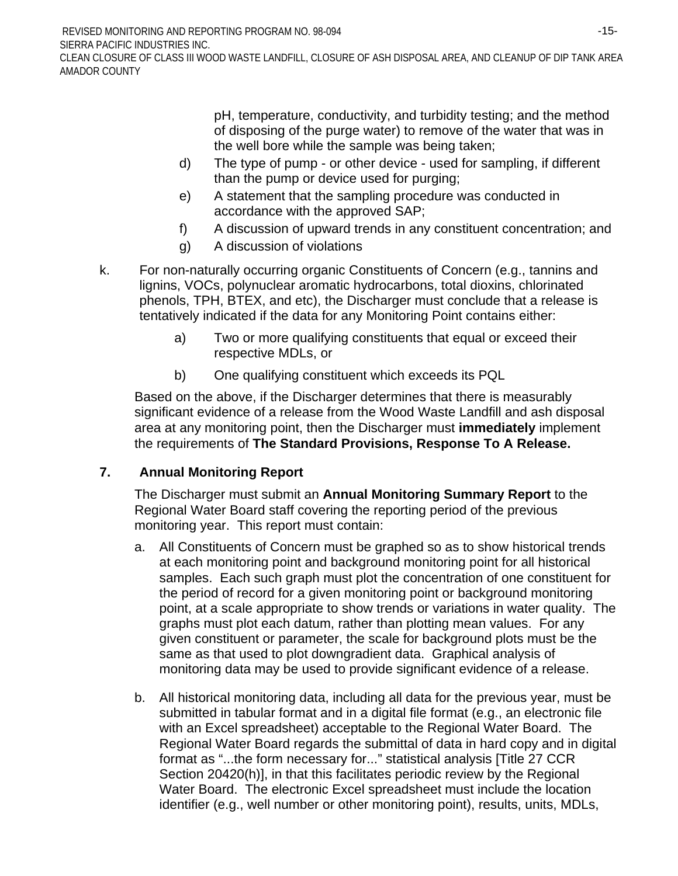REVISED MONITORING AND REPORTING PROGRAM NO. 98-094 SIERRA PACIFIC INDUSTRIES INC. CLEAN CLOSURE OF CLASS III WOOD WASTE LANDFILL, CLOSURE OF ASH DISPOSAL AREA, AND CLEANUP OF DIP TANK AREA AMADOR COUNTY

> pH, temperature, conductivity, and turbidity testing; and the method of disposing of the purge water) to remove of the water that was in the well bore while the sample was being taken;

- d) The type of pump or other device used for sampling, if different than the pump or device used for purging;
- e) A statement that the sampling procedure was conducted in accordance with the approved SAP;
- f) A discussion of upward trends in any constituent concentration; and
- g) A discussion of violations
- k. For non-naturally occurring organic Constituents of Concern (e.g., tannins and lignins, VOCs, polynuclear aromatic hydrocarbons, total dioxins, chlorinated phenols, TPH, BTEX, and etc), the Discharger must conclude that a release is tentatively indicated if the data for any Monitoring Point contains either:
	- a) Two or more qualifying constituents that equal or exceed their respective MDLs, or
	- b) One qualifying constituent which exceeds its PQL

Based on the above, if the Discharger determines that there is measurably significant evidence of a release from the Wood Waste Landfill and ash disposal area at any monitoring point, then the Discharger must **immediately** implement the requirements of **The Standard Provisions, Response To A Release.**

## **7. Annual Monitoring Report**

The Discharger must submit an **Annual Monitoring Summary Report** to the Regional Water Board staff covering the reporting period of the previous monitoring year. This report must contain:

- a. All Constituents of Concern must be graphed so as to show historical trends at each monitoring point and background monitoring point for all historical samples. Each such graph must plot the concentration of one constituent for the period of record for a given monitoring point or background monitoring point, at a scale appropriate to show trends or variations in water quality. The graphs must plot each datum, rather than plotting mean values. For any given constituent or parameter, the scale for background plots must be the same as that used to plot downgradient data. Graphical analysis of monitoring data may be used to provide significant evidence of a release.
- b. All historical monitoring data, including all data for the previous year, must be submitted in tabular format and in a digital file format (e.g., an electronic file with an Excel spreadsheet) acceptable to the Regional Water Board. The Regional Water Board regards the submittal of data in hard copy and in digital format as "...the form necessary for..." statistical analysis [Title 27 CCR Section 20420(h)], in that this facilitates periodic review by the Regional Water Board. The electronic Excel spreadsheet must include the location identifier (e.g., well number or other monitoring point), results, units, MDLs,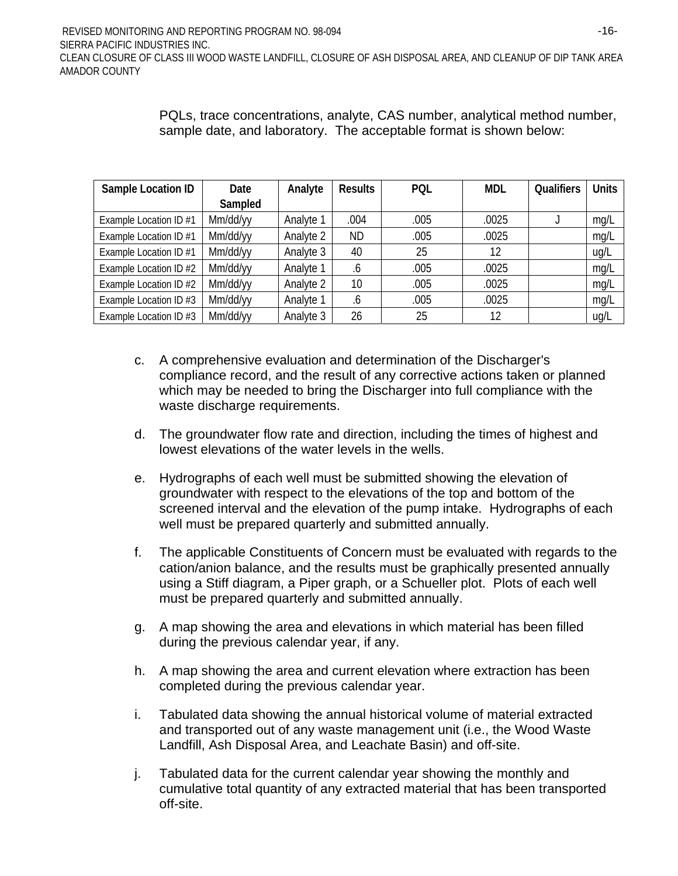PQLs, trace concentrations, analyte, CAS number, analytical method number, sample date, and laboratory. The acceptable format is shown below:

| Sample Location ID     | Date     | Analyte   | <b>Results</b> | PQL  | <b>MDL</b> | <b>Qualifiers</b> | <b>Units</b> |
|------------------------|----------|-----------|----------------|------|------------|-------------------|--------------|
|                        | Sampled  |           |                |      |            |                   |              |
| Example Location ID #1 | Mm/dd/yy | Analyte 1 | .004           | .005 | .0025      |                   | mg/L         |
| Example Location ID #1 | Mm/dd/yy | Analyte 2 | ND             | .005 | .0025      |                   | mg/L         |
| Example Location ID #1 | Mm/dd/yy | Analyte 3 | 40             | 25   | 12         |                   | ug/L         |
| Example Location ID #2 | Mm/dd/yy | Analyte 1 | .6             | .005 | .0025      |                   | mg/L         |
| Example Location ID #2 | Mm/dd/yy | Analyte 2 | 10             | .005 | .0025      |                   | mg/L         |
| Example Location ID #3 | Mm/dd/yy | Analyte 1 | .6             | .005 | .0025      |                   | mg/L         |
| Example Location ID #3 | Mm/dd/yy | Analyte 3 | 26             | 25   | 12         |                   | ug/L         |

- c. A comprehensive evaluation and determination of the Discharger's compliance record, and the result of any corrective actions taken or planned which may be needed to bring the Discharger into full compliance with the waste discharge requirements.
- d. The groundwater flow rate and direction, including the times of highest and lowest elevations of the water levels in the wells.
- e. Hydrographs of each well must be submitted showing the elevation of groundwater with respect to the elevations of the top and bottom of the screened interval and the elevation of the pump intake. Hydrographs of each well must be prepared quarterly and submitted annually.
- f. The applicable Constituents of Concern must be evaluated with regards to the cation/anion balance, and the results must be graphically presented annually using a Stiff diagram, a Piper graph, or a Schueller plot. Plots of each well must be prepared quarterly and submitted annually.
- g. A map showing the area and elevations in which material has been filled during the previous calendar year, if any.
- h. A map showing the area and current elevation where extraction has been completed during the previous calendar year.
- i. Tabulated data showing the annual historical volume of material extracted and transported out of any waste management unit (i.e., the Wood Waste Landfill, Ash Disposal Area, and Leachate Basin) and off-site.
- j. Tabulated data for the current calendar year showing the monthly and cumulative total quantity of any extracted material that has been transported off-site.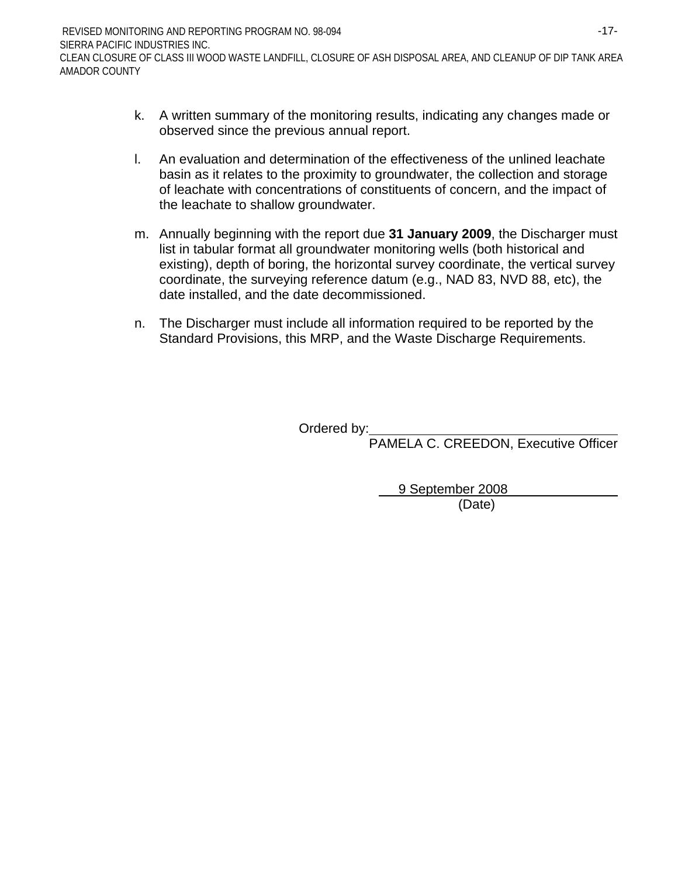- k. A written summary of the monitoring results, indicating any changes made or observed since the previous annual report.
- l. An evaluation and determination of the effectiveness of the unlined leachate basin as it relates to the proximity to groundwater, the collection and storage of leachate with concentrations of constituents of concern, and the impact of the leachate to shallow groundwater.
- m. Annually beginning with the report due **31 January 2009**, the Discharger must list in tabular format all groundwater monitoring wells (both historical and existing), depth of boring, the horizontal survey coordinate, the vertical survey coordinate, the surveying reference datum (e.g., NAD 83, NVD 88, etc), the date installed, and the date decommissioned.
- n. The Discharger must include all information required to be reported by the Standard Provisions, this MRP, and the Waste Discharge Requirements.

Ordered by:

PAMELA C. CREEDON, Executive Officer

 9 September 2008 (Date)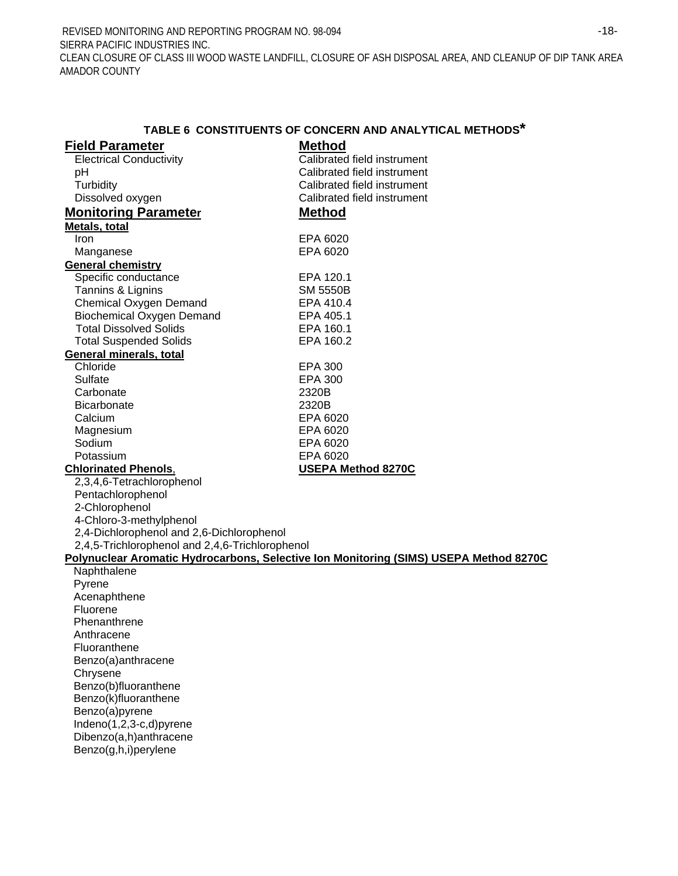REVISED MONITORING AND REPORTING PROGRAM NO. 98-094 SIERRA PACIFIC INDUSTRIES INC. -18- CLEAN CLOSURE OF CLASS III WOOD WASTE LANDFILL, CLOSURE OF ASH DISPOSAL AREA, AND CLEANUP OF DIP TANK AREA AMADOR COUNTY

|                                                 | TABLE 6 CONSTITUENTS OF CONCERN AND ANALYTICAL METHODS*                               |
|-------------------------------------------------|---------------------------------------------------------------------------------------|
| <b>Field Parameter</b>                          | <b>Method</b>                                                                         |
| <b>Electrical Conductivity</b>                  | Calibrated field instrument                                                           |
| pH                                              | Calibrated field instrument                                                           |
| Turbidity                                       | Calibrated field instrument                                                           |
| Dissolved oxygen                                | Calibrated field instrument                                                           |
| <b>Monitoring Parameter</b>                     | <b>Method</b>                                                                         |
| Metals, total                                   |                                                                                       |
| <b>Iron</b>                                     | EPA 6020                                                                              |
| Manganese                                       | EPA 6020                                                                              |
| <b>General chemistry</b>                        |                                                                                       |
| Specific conductance                            | EPA 120.1                                                                             |
| Tannins & Lignins                               | <b>SM 5550B</b>                                                                       |
| <b>Chemical Oxygen Demand</b>                   | EPA 410.4                                                                             |
| <b>Biochemical Oxygen Demand</b>                | EPA 405.1                                                                             |
| <b>Total Dissolved Solids</b>                   | EPA 160.1                                                                             |
| <b>Total Suspended Solids</b>                   | EPA 160.2                                                                             |
| General minerals, total                         |                                                                                       |
| Chloride                                        | <b>EPA 300</b>                                                                        |
| Sulfate                                         | <b>EPA 300</b>                                                                        |
| Carbonate                                       | 2320B                                                                                 |
| <b>Bicarbonate</b>                              | 2320B                                                                                 |
| Calcium                                         | EPA 6020                                                                              |
| Magnesium                                       | EPA 6020                                                                              |
| Sodium                                          | EPA 6020                                                                              |
| Potassium                                       | EPA 6020                                                                              |
| <b>Chlorinated Phenols,</b>                     | <b>USEPA Method 8270C</b>                                                             |
| 2,3,4,6-Tetrachlorophenol                       |                                                                                       |
| Pentachlorophenol                               |                                                                                       |
| 2-Chlorophenol                                  |                                                                                       |
| 4-Chloro-3-methylphenol                         |                                                                                       |
| 2,4-Dichlorophenol and 2,6-Dichlorophenol       |                                                                                       |
| 2,4,5-Trichlorophenol and 2,4,6-Trichlorophenol |                                                                                       |
|                                                 | Polynuclear Aromatic Hydrocarbons, Selective Ion Monitoring (SIMS) USEPA Method 8270C |
| Naphthalene                                     |                                                                                       |
| Pyrene                                          |                                                                                       |
| Acenaphthene                                    |                                                                                       |
| Fluorene                                        |                                                                                       |
| Phenanthrene                                    |                                                                                       |
| Anthracene                                      |                                                                                       |
| Fluoranthene                                    |                                                                                       |
| Benzo(a)anthracene                              |                                                                                       |
| Chrysene<br>Benzo(b)fluoranthene                |                                                                                       |
| Benzo(k)fluoranthene                            |                                                                                       |
| Benzo(a)pyrene                                  |                                                                                       |
| Indeno(1,2,3-c,d)pyrene                         |                                                                                       |
| Dibenzo(a,h)anthracene                          |                                                                                       |
| Benzo(g,h,i)perylene                            |                                                                                       |
|                                                 |                                                                                       |
|                                                 |                                                                                       |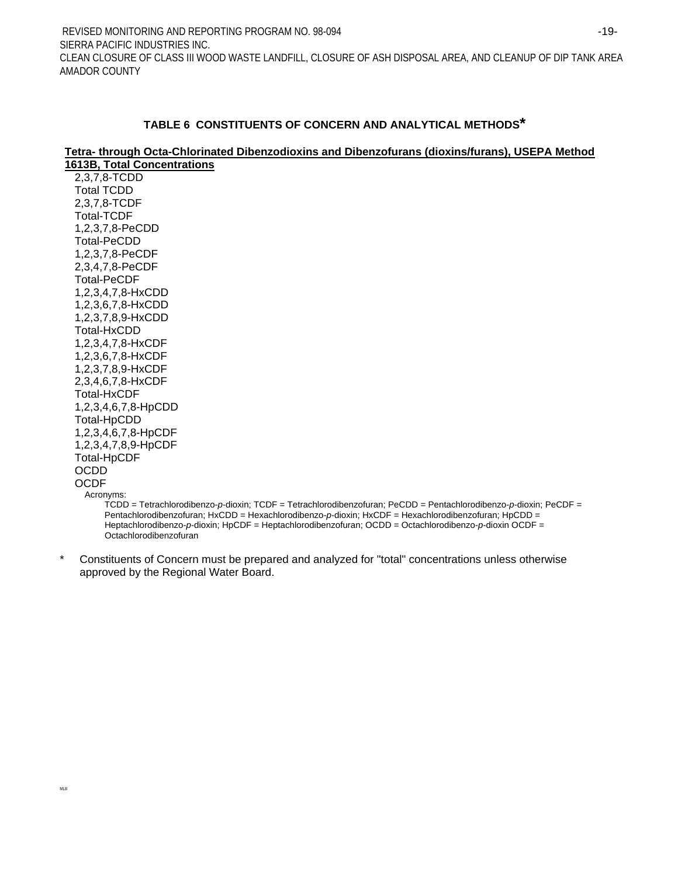#### **TABLE 6 CONSTITUENTS OF CONCERN AND ANALYTICAL METHODS\***

#### **Tetra- through Octa-Chlorinated Dibenzodioxins and Dibenzofurans (dioxins/furans), USEPA Method 1613B, Total Concentrations**

2,3,7,8-TCDD Total TCDD 2,3,7,8-TCDF Total-TCDF 1,2,3,7,8-PeCDD Total-PeCDD 1,2,3,7,8-PeCDF 2,3,4,7,8-PeCDF Total-PeCDF 1,2,3,4,7,8-HxCDD 1,2,3,6,7,8-HxCDD 1,2,3,7,8,9-HxCDD Total-HxCDD 1,2,3,4,7,8-HxCDF 1,2,3,6,7,8-HxCDF 1,2,3,7,8,9-HxCDF 2,3,4,6,7,8-HxCDF Total-HxCDF 1,2,3,4,6,7,8-HpCDD Total-HpCDD 1,2,3,4,6,7,8-HpCDF 1,2,3,4,7,8,9-HpCDF Total-HpCDF OCDD **OCDE** Acronyms:

TCDD = Tetrachlorodibenzo-*p*-dioxin; TCDF = Tetrachlorodibenzofuran; PeCDD = Pentachlorodibenzo-*p*-dioxin; PeCDF = Pentachlorodibenzofuran; HxCDD = Hexachlorodibenzo-*p*-dioxin; HxCDF = Hexachlorodibenzofuran; HpCDD = Heptachlorodibenzo-*p*-dioxin; HpCDF = Heptachlorodibenzofuran; OCDD = Octachlorodibenzo-*p*-dioxin OCDF = Octachlorodibenzofuran

\* Constituents of Concern must be prepared and analyzed for "total" concentrations unless otherwise approved by the Regional Water Board.

MLB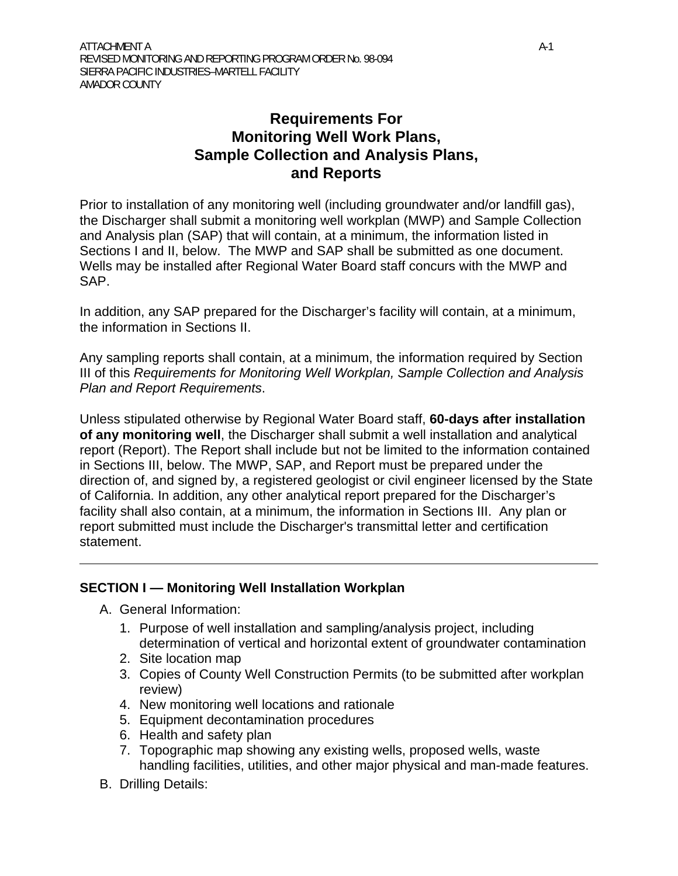# **Requirements For Monitoring Well Work Plans, Sample Collection and Analysis Plans, and Reports**

Prior to installation of any monitoring well (including groundwater and/or landfill gas), the Discharger shall submit a monitoring well workplan (MWP) and Sample Collection and Analysis plan (SAP) that will contain, at a minimum, the information listed in Sections I and II, below. The MWP and SAP shall be submitted as one document. Wells may be installed after Regional Water Board staff concurs with the MWP and SAP.

In addition, any SAP prepared for the Discharger's facility will contain, at a minimum, the information in Sections II.

Any sampling reports shall contain, at a minimum, the information required by Section III of this *Requirements for Monitoring Well Workplan, Sample Collection and Analysis Plan and Report Requirements*.

Unless stipulated otherwise by Regional Water Board staff, **60-days after installation of any monitoring well**, the Discharger shall submit a well installation and analytical report (Report). The Report shall include but not be limited to the information contained in Sections III, below. The MWP, SAP, and Report must be prepared under the direction of, and signed by, a registered geologist or civil engineer licensed by the State of California. In addition, any other analytical report prepared for the Discharger's facility shall also contain, at a minimum, the information in Sections III. Any plan or report submitted must include the Discharger's transmittal letter and certification statement.

## **SECTION I — Monitoring Well Installation Workplan**

- A. General Information:
	- 1. Purpose of well installation and sampling/analysis project, including determination of vertical and horizontal extent of groundwater contamination
	- 2. Site location map
	- 3. Copies of County Well Construction Permits (to be submitted after workplan review)
	- 4. New monitoring well locations and rationale
	- 5. Equipment decontamination procedures
	- 6. Health and safety plan
	- 7. Topographic map showing any existing wells, proposed wells, waste handling facilities, utilities, and other major physical and man-made features.
- B. Drilling Details: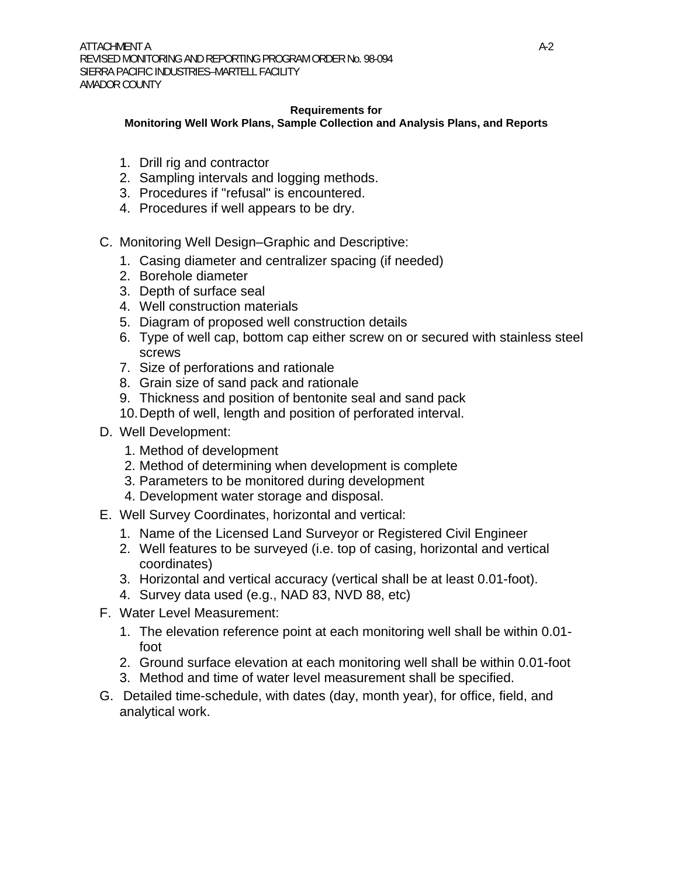#### **Requirements for**

**Monitoring Well Work Plans, Sample Collection and Analysis Plans, and Reports** 

- 1. Drill rig and contractor
- 2. Sampling intervals and logging methods.
- 3. Procedures if "refusal" is encountered.
- 4. Procedures if well appears to be dry.
- C. Monitoring Well Design–Graphic and Descriptive:
	- 1. Casing diameter and centralizer spacing (if needed)
	- 2. Borehole diameter
	- 3. Depth of surface seal
	- 4. Well construction materials
	- 5. Diagram of proposed well construction details
	- 6. Type of well cap, bottom cap either screw on or secured with stainless steel screws
	- 7. Size of perforations and rationale
	- 8. Grain size of sand pack and rationale
	- 9. Thickness and position of bentonite seal and sand pack
	- 10. Depth of well, length and position of perforated interval.
- D. Well Development:
	- 1. Method of development
	- 2. Method of determining when development is complete
	- 3. Parameters to be monitored during development
	- 4. Development water storage and disposal.
- E. Well Survey Coordinates, horizontal and vertical:
	- 1. Name of the Licensed Land Surveyor or Registered Civil Engineer
	- 2. Well features to be surveyed (i.e. top of casing, horizontal and vertical coordinates)
	- 3. Horizontal and vertical accuracy (vertical shall be at least 0.01-foot).
	- 4. Survey data used (e.g., NAD 83, NVD 88, etc)
- F. Water Level Measurement:
	- 1. The elevation reference point at each monitoring well shall be within 0.01 foot
	- 2. Ground surface elevation at each monitoring well shall be within 0.01-foot
	- 3. Method and time of water level measurement shall be specified.
- G. Detailed time-schedule, with dates (day, month year), for office, field, and analytical work.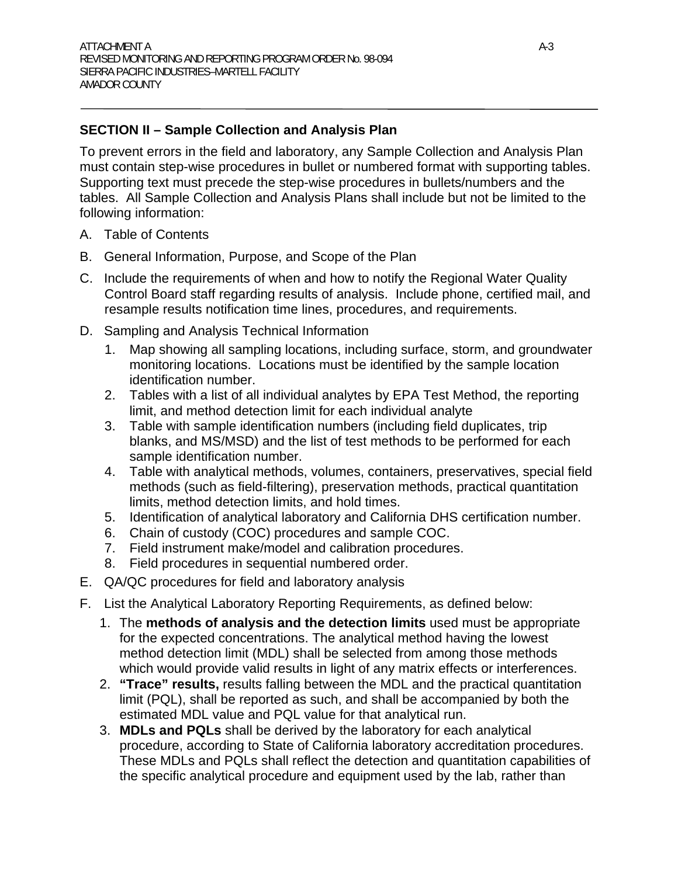## **SECTION II – Sample Collection and Analysis Plan**

To prevent errors in the field and laboratory, any Sample Collection and Analysis Plan must contain step-wise procedures in bullet or numbered format with supporting tables. Supporting text must precede the step-wise procedures in bullets/numbers and the tables. All Sample Collection and Analysis Plans shall include but not be limited to the following information:

- A. Table of Contents
- B. General Information, Purpose, and Scope of the Plan
- C. Include the requirements of when and how to notify the Regional Water Quality Control Board staff regarding results of analysis. Include phone, certified mail, and resample results notification time lines, procedures, and requirements.
- D. Sampling and Analysis Technical Information
	- 1. Map showing all sampling locations, including surface, storm, and groundwater monitoring locations. Locations must be identified by the sample location identification number.
	- 2. Tables with a list of all individual analytes by EPA Test Method, the reporting limit, and method detection limit for each individual analyte
	- 3. Table with sample identification numbers (including field duplicates, trip blanks, and MS/MSD) and the list of test methods to be performed for each sample identification number.
	- 4. Table with analytical methods, volumes, containers, preservatives, special field methods (such as field-filtering), preservation methods, practical quantitation limits, method detection limits, and hold times.
	- 5. Identification of analytical laboratory and California DHS certification number.
	- 6. Chain of custody (COC) procedures and sample COC.
	- 7. Field instrument make/model and calibration procedures.
	- 8. Field procedures in sequential numbered order.
- E. QA/QC procedures for field and laboratory analysis
- F. List the Analytical Laboratory Reporting Requirements, as defined below:
	- 1. The **methods of analysis and the detection limits** used must be appropriate for the expected concentrations. The analytical method having the lowest method detection limit (MDL) shall be selected from among those methods which would provide valid results in light of any matrix effects or interferences.
	- 2. **"Trace" results,** results falling between the MDL and the practical quantitation limit (PQL), shall be reported as such, and shall be accompanied by both the estimated MDL value and PQL value for that analytical run.
	- 3. **MDLs and PQLs** shall be derived by the laboratory for each analytical procedure, according to State of California laboratory accreditation procedures. These MDLs and PQLs shall reflect the detection and quantitation capabilities of the specific analytical procedure and equipment used by the lab, rather than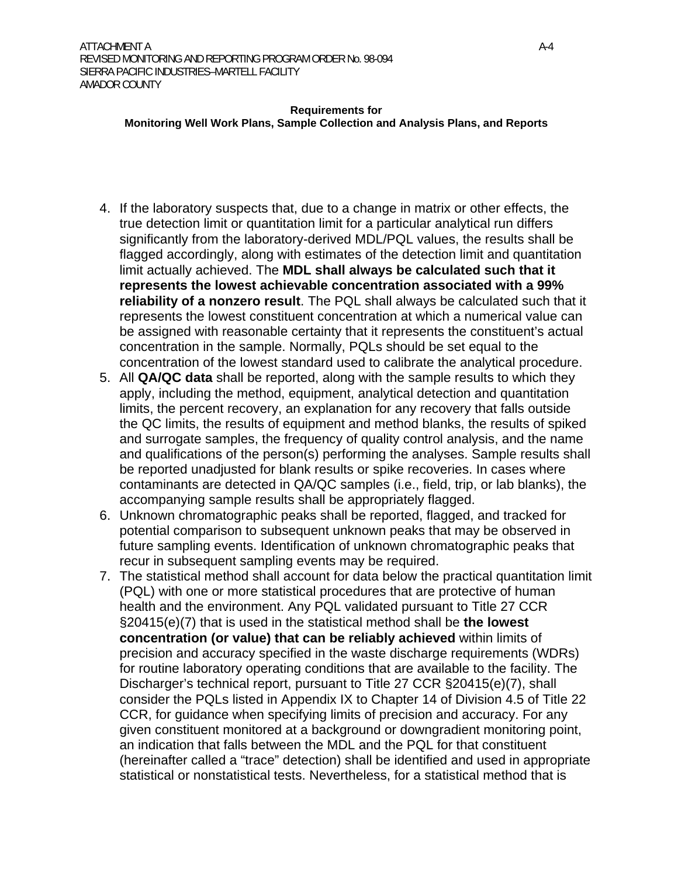#### **Requirements for**

#### **Monitoring Well Work Plans, Sample Collection and Analysis Plans, and Reports**

- 4. If the laboratory suspects that, due to a change in matrix or other effects, the true detection limit or quantitation limit for a particular analytical run differs significantly from the laboratory-derived MDL/PQL values, the results shall be flagged accordingly, along with estimates of the detection limit and quantitation limit actually achieved. The **MDL shall always be calculated such that it represents the lowest achievable concentration associated with a 99% reliability of a nonzero result**. The PQL shall always be calculated such that it represents the lowest constituent concentration at which a numerical value can be assigned with reasonable certainty that it represents the constituent's actual concentration in the sample. Normally, PQLs should be set equal to the concentration of the lowest standard used to calibrate the analytical procedure.
- 5. All **QA/QC data** shall be reported, along with the sample results to which they apply, including the method, equipment, analytical detection and quantitation limits, the percent recovery, an explanation for any recovery that falls outside the QC limits, the results of equipment and method blanks, the results of spiked and surrogate samples, the frequency of quality control analysis, and the name and qualifications of the person(s) performing the analyses. Sample results shall be reported unadjusted for blank results or spike recoveries. In cases where contaminants are detected in QA/QC samples (i.e., field, trip, or lab blanks), the accompanying sample results shall be appropriately flagged.
- 6. Unknown chromatographic peaks shall be reported, flagged, and tracked for potential comparison to subsequent unknown peaks that may be observed in future sampling events. Identification of unknown chromatographic peaks that recur in subsequent sampling events may be required.
- 7. The statistical method shall account for data below the practical quantitation limit (PQL) with one or more statistical procedures that are protective of human health and the environment. Any PQL validated pursuant to Title 27 CCR §20415(e)(7) that is used in the statistical method shall be **the lowest concentration (or value) that can be reliably achieved** within limits of precision and accuracy specified in the waste discharge requirements (WDRs) for routine laboratory operating conditions that are available to the facility. The Discharger's technical report, pursuant to Title 27 CCR §20415(e)(7), shall consider the PQLs listed in Appendix IX to Chapter 14 of Division 4.5 of Title 22 CCR, for guidance when specifying limits of precision and accuracy. For any given constituent monitored at a background or downgradient monitoring point, an indication that falls between the MDL and the PQL for that constituent (hereinafter called a "trace" detection) shall be identified and used in appropriate statistical or nonstatistical tests. Nevertheless, for a statistical method that is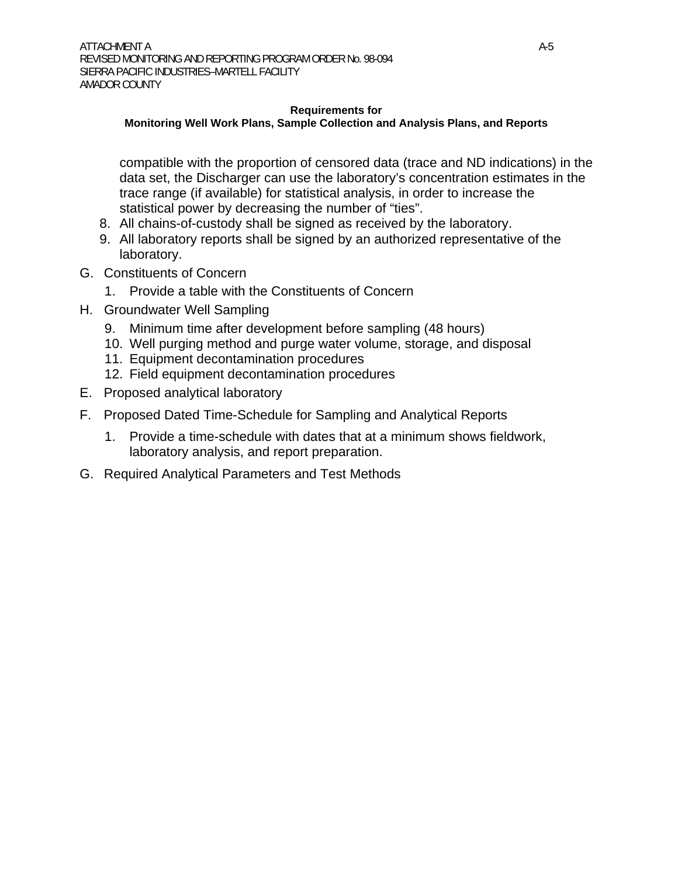#### **Requirements for**

#### **Monitoring Well Work Plans, Sample Collection and Analysis Plans, and Reports**

compatible with the proportion of censored data (trace and ND indications) in the data set, the Discharger can use the laboratory's concentration estimates in the trace range (if available) for statistical analysis, in order to increase the statistical power by decreasing the number of "ties".

- 8. All chains-of-custody shall be signed as received by the laboratory.
- 9. All laboratory reports shall be signed by an authorized representative of the laboratory.
- G. Constituents of Concern
	- 1. Provide a table with the Constituents of Concern
- H. Groundwater Well Sampling
	- 9. Minimum time after development before sampling (48 hours)
	- 10. Well purging method and purge water volume, storage, and disposal
	- 11. Equipment decontamination procedures
	- 12. Field equipment decontamination procedures
- E. Proposed analytical laboratory
- F. Proposed Dated Time-Schedule for Sampling and Analytical Reports
	- 1. Provide a time-schedule with dates that at a minimum shows fieldwork, laboratory analysis, and report preparation.
- G. Required Analytical Parameters and Test Methods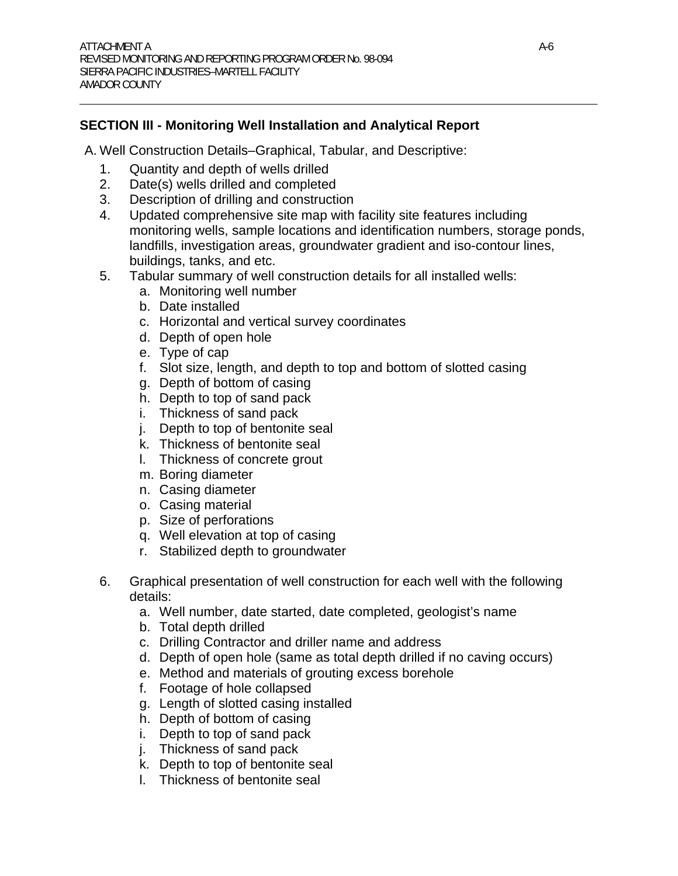## **SECTION III - Monitoring Well Installation and Analytical Report**

A. Well Construction Details–Graphical, Tabular, and Descriptive:

- 1. Quantity and depth of wells drilled
- 2. Date(s) wells drilled and completed
- 3. Description of drilling and construction
- 4. Updated comprehensive site map with facility site features including monitoring wells, sample locations and identification numbers, storage ponds, landfills, investigation areas, groundwater gradient and iso-contour lines, buildings, tanks, and etc.
- 5. Tabular summary of well construction details for all installed wells:
	- a. Monitoring well number
	- b. Date installed
	- c. Horizontal and vertical survey coordinates
	- d. Depth of open hole
	- e. Type of cap
	- f. Slot size, length, and depth to top and bottom of slotted casing
	- g. Depth of bottom of casing
	- h. Depth to top of sand pack
	- i. Thickness of sand pack
	- j. Depth to top of bentonite seal
	- k. Thickness of bentonite seal
	- l. Thickness of concrete grout
	- m. Boring diameter
	- n. Casing diameter
	- o. Casing material
	- p. Size of perforations
	- q. Well elevation at top of casing
	- r. Stabilized depth to groundwater
- 6. Graphical presentation of well construction for each well with the following details:
	- a. Well number, date started, date completed, geologist's name
	- b. Total depth drilled
	- c. Drilling Contractor and driller name and address
	- d. Depth of open hole (same as total depth drilled if no caving occurs)
	- e. Method and materials of grouting excess borehole
	- f. Footage of hole collapsed
	- g. Length of slotted casing installed
	- h. Depth of bottom of casing
	- i. Depth to top of sand pack
	- j. Thickness of sand pack
	- k. Depth to top of bentonite seal
	- l. Thickness of bentonite seal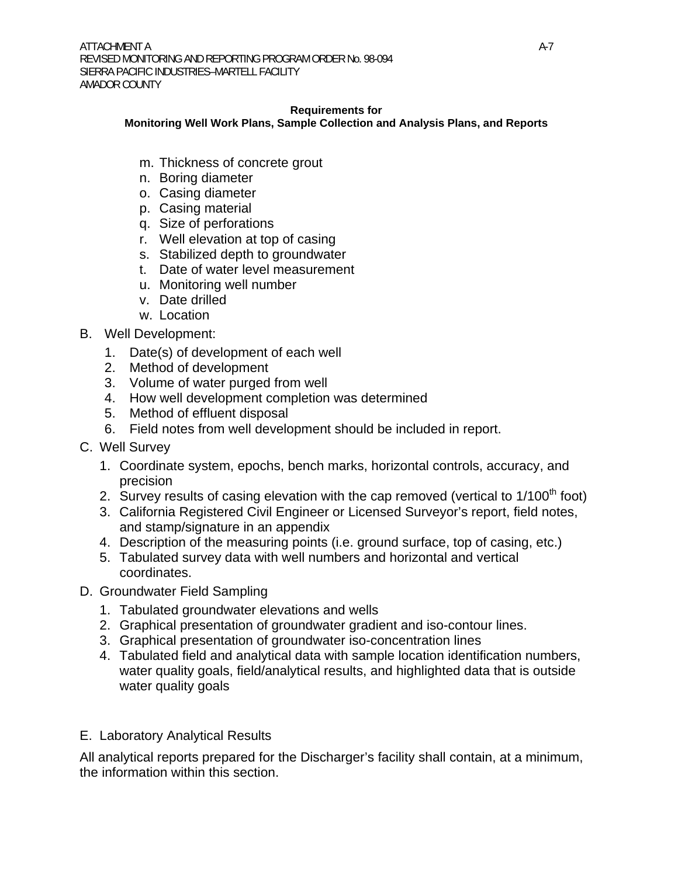#### **Requirements for**

#### **Monitoring Well Work Plans, Sample Collection and Analysis Plans, and Reports**

- m. Thickness of concrete grout
- n. Boring diameter
- o. Casing diameter
- p. Casing material
- q. Size of perforations
- r. Well elevation at top of casing
- s. Stabilized depth to groundwater
- t. Date of water level measurement
- u. Monitoring well number
- v. Date drilled
- w. Location
- B. Well Development:
	- 1. Date(s) of development of each well
	- 2. Method of development
	- 3. Volume of water purged from well
	- 4. How well development completion was determined
	- 5. Method of effluent disposal
	- 6. Field notes from well development should be included in report.
- C. Well Survey
	- 1. Coordinate system, epochs, bench marks, horizontal controls, accuracy, and precision
	- 2. Survey results of casing elevation with the cap removed (vertical to  $1/100<sup>th</sup>$  foot)
	- 3. California Registered Civil Engineer or Licensed Surveyor's report, field notes, and stamp/signature in an appendix
	- 4. Description of the measuring points (i.e. ground surface, top of casing, etc.)
	- 5. Tabulated survey data with well numbers and horizontal and vertical coordinates.
- D. Groundwater Field Sampling
	- 1. Tabulated groundwater elevations and wells
	- 2. Graphical presentation of groundwater gradient and iso-contour lines.
	- 3. Graphical presentation of groundwater iso-concentration lines
	- 4. Tabulated field and analytical data with sample location identification numbers, water quality goals, field/analytical results, and highlighted data that is outside water quality goals

### E. Laboratory Analytical Results

All analytical reports prepared for the Discharger's facility shall contain, at a minimum, the information within this section.